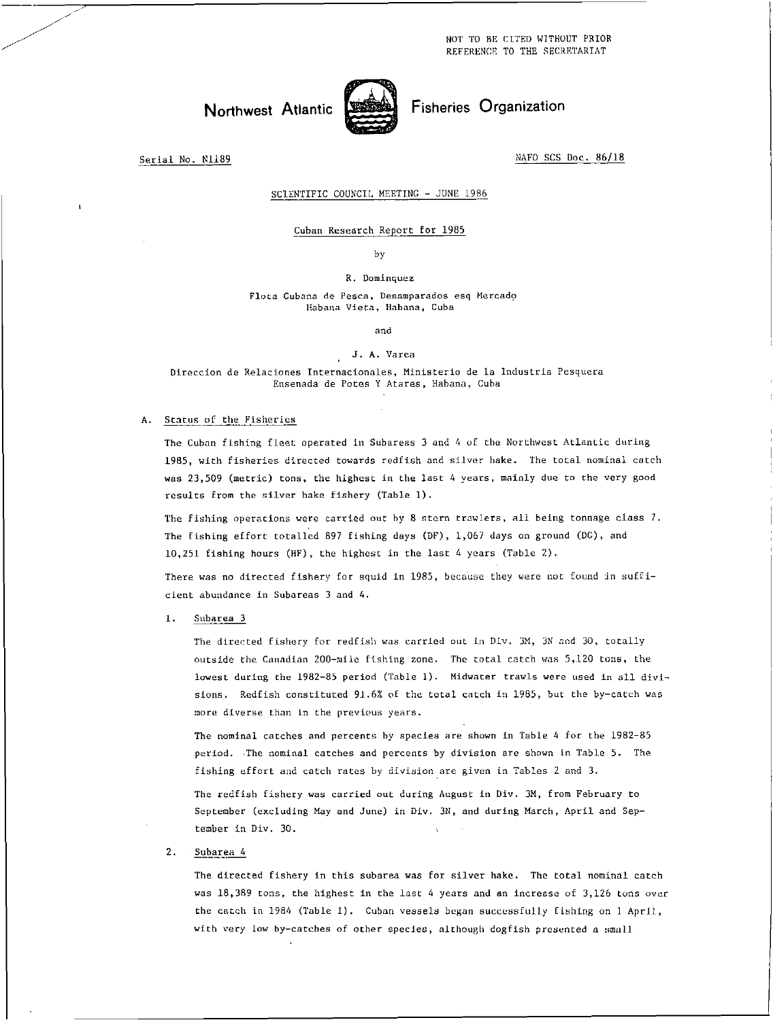NOT TO BE CITED WITHOUT PRIOR REFERENCE TO THE SECRETARIAT

# Northwest Atlantic Fisheries Organization



Serial No. N1189 NAFO SCS Doc. 86/18

### SCIENTIFIC COUNCIL MEETING - JUNE 1986

## Cuban Research Report for 1985

by

### R. Dominguez

Flota Cubana de Pesca, Desamparados esq Mercado Habana Vieta, Habana, Cuba

and

### J. A. Varea

Direccion de Relaciones Internacionales, Ministerio de la lndustria Pesquera Ensenada de Potes Y Atares, Habana, Cuba

# A. Status of the Fisheries

The Cuban fishing fleet operated in Subareas 3 and 4 of the Northwest Atlantic during 1985, with fisheries directed towards redfish and silver hake. The total nominal catch was 23,509 (metric) tons, the highest in the last 4 years, mainly due to the very good results from the silver hake fishery (Table 1).

The fishing operations were carried out by 8 stern trawlers, all being tonnage class 7. The fishing effort totalled 897 fishing days (DF), 1,067 days on ground (DG), and 10,251 fishing hours (HF), the highest in the last 4 years (Table 2).

There was no directed fishery for squid in 1985, because they were not found in sufficient abundance in Subareas 3 and 4.

1. Subarea 3

The directed fishery for redfish was carried out in Div. 3M, 3N and 30, totally outside the Canadian 200-mile fishing zone. The total catch was 5,120 tons, the lowest during the 1982-85 period (Table 1). Midwater trawls were used in all divisions. Redfish constituted 91.6% of the total catch in 1985, but the by-catch was more diverse than in the previous years.

The nominal catches and percents by species are shown in Table 4 for the 1982-85 period. The nominal catches and percents by division are shown in Table 5. The fishing effort and catch rates by division are given in Tables 2 and 3.

The redfish fishery was carried out during August in Div. 3M, from February to September (excluding May and June) in Div. 3N, and during March, April and September in Div. 30.

# 2. Subarea 4

The directed fishery in this subarea was for silver hake. The total nominal catch was 18,389 tons, the highest in the last 4 years and an increase of 3,126 tons over the catch in 1984 (Table 1). Cuban vessels began successfully fishing on 1 Apr11, with very low by-catches of other species, although dogfish presented a small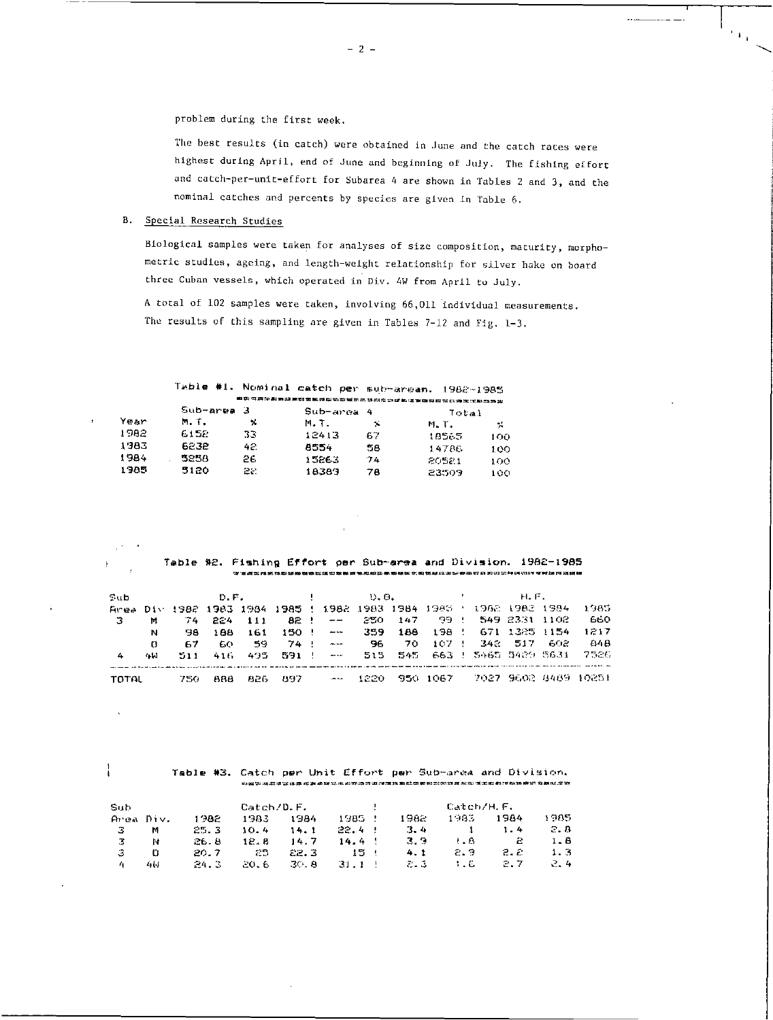problem during the first week.

The best results (in catch) were obtained in June and the catch races were highest during April, end of June and beginning of July. The fishing effort and catch-per-unit-effort for Subarea 4 are shown in Tables 2 and 3, and the nominal catches and percents by species are given in Table 6.

ra.

# B. Special Research Studies

Biological samples were taken for analyses of size composition, maturity, morphometric studies, ageing, and length-weight relationship for silver hake on board three Cuban vessels, which operated in Div. 4W from April to July.

A total of 102 samples were taken, involving 66,011 individual measurements. The results of this sampling are given in Tables 7-12 and Fig. 1-3.

|      |             |     |               |    | Table #1. Nominal catch per sub-areas. 1982-1985 |        |
|------|-------------|-----|---------------|----|--------------------------------------------------|--------|
|      |             |     |               |    | 自然可用的出现用或重要因应该可以对比不是以为立即的运输的双元化的不法的动态            |        |
|      | $Sub-area3$ |     | $Sub-arrna 4$ |    | Total                                            |        |
| Year | M. T.       | x   | M.T.          | 74 | M. T.                                            | $\sim$ |
| 1982 | 6158        | 33  | 12413         | 67 | 18565                                            | 100    |
| 1983 | 6238        | 42. | 8554          | 58 | 14786                                            | 100    |
| 1984 | 525A        | 2£. | 15263         | 74 | 80581                                            | 100    |
| 1985 | 5120        | 22. | 18383         | 78 | 23.509                                           | 100    |

Table \*2. Fishing Effort per Sub-area and Division. 1982-1985 aam=maaamaaaaaamaaaaaaaa,aaaaa.aaanaaaaaaaaaaaaaa

| Sub    |        |       | D.F.  |      |                                                      | and the con- |                          | D. O. |      |          |  | H.F.                  |      |                      |
|--------|--------|-------|-------|------|------------------------------------------------------|--------------|--------------------------|-------|------|----------|--|-----------------------|------|----------------------|
|        |        |       |       |      | Area Div 1982 1983 1984 1985 ! 1982 1983 1984 1983 ! |              |                          |       |      |          |  | 1962 1983 1984        |      | 1985                 |
| -3     | м      | -74 - | -224  | 111  |                                                      |              | $82 \div - -$            | -250- | 147  | -99 - 1  |  | - 549 2331 1102       |      | 660                  |
|        | N      | 38    | 1 B.B | 161  |                                                      |              | $150$ . $-$              | 359.  | 188  | 198 !    |  | 671 1325 1154         |      | 1217                 |
|        | o      | 67    | 60.   | - 9  | 74 !                                                 |              | <b>Contract Contract</b> | -96   | 70.  | 107 1    |  | 342 517               | -602 | 848                  |
| 4      | الماجة | 511   | 416.  | 495  |                                                      |              |                          | 515.  | 545. |          |  | -663 - 5465 5489 5631 |      | 7526                 |
| TOTAL. |        | 750   | BBB   | 826. | -897                                                 |              | $- - -$                  | 12. O |      | 950 1067 |  |                       |      | 7027 9602 8489 10251 |

# Table \*3. Catch per Unit Effort per Sub-area and Division.

| Sub       |        |       | Catch/D.F. |       |        | ÷ |        | Catch/H.F.  |      |       |
|-----------|--------|-------|------------|-------|--------|---|--------|-------------|------|-------|
| Area Div. |        | 1982  | 1983       | -1984 | 1985 - |   | 1982.  | $1 - 13.5$  | 1964 | 1985. |
| -3        | м      | 25.3  | 10.4       | 14.1  | 22.4   |   | $-3-4$ |             | 1.4  | 3. B  |
| -3        | N      | 26. B | 12. B      | 14.7  | 14.4   |   | 3.3    | $\cdot$ . 8 | 2    | 1.B   |
| -3        | o      | 20.7  | 25.        | E2.3  | -15    |   | 4.1    | 2.9         | 2. 2 | 1.3   |
|           | الماءة | 24.3  | -20.6      | -30.8 | 31.1.1 |   | 7. J   | 1.6         | 2.7  | 2.4   |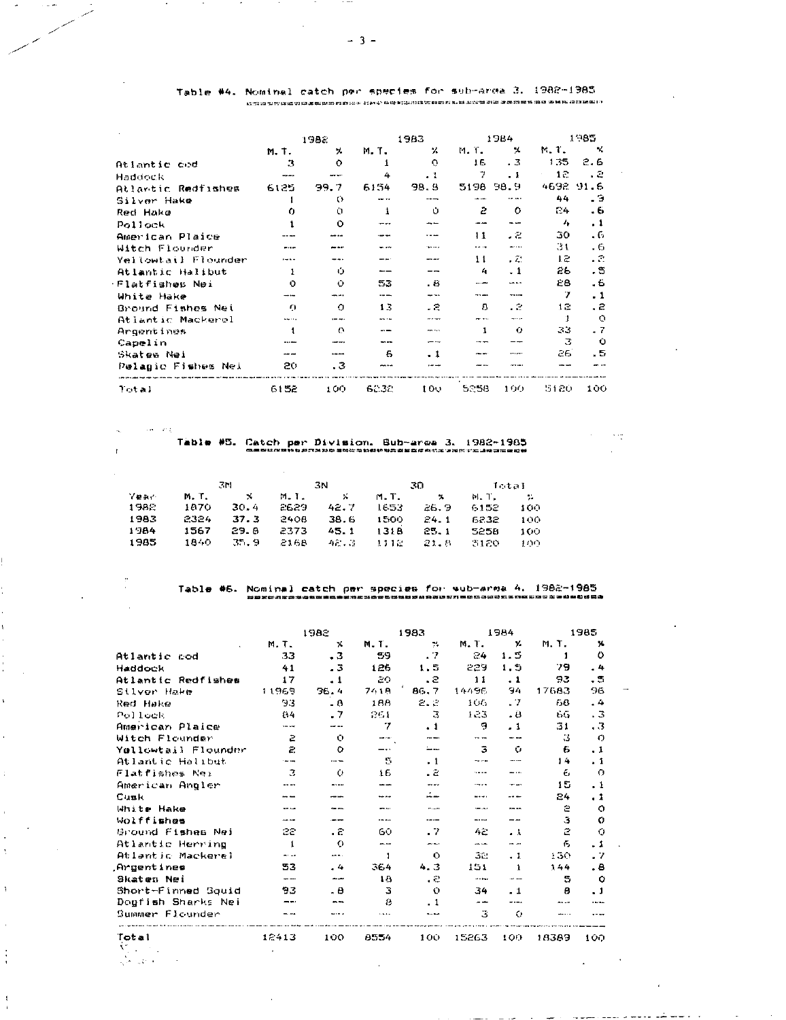|                     |            | 1352               |         | 1983                                  |           | 1984      |      | 1985      |
|---------------------|------------|--------------------|---------|---------------------------------------|-----------|-----------|------|-----------|
|                     | M.T.       | x                  | M.T.    | x                                     | M T.      | x         | N.7. | x         |
| Atlantic cod        | 3          | O                  |         | $\circ$                               | 16.       | . 3       | 1.35 | 2.6       |
| Haddock             |            |                    | 4       | $\cdot$ 1                             | 7         | . 1       | 12   | - 2       |
| Atlantic Redfishes  | 6125       | 99.7               | 6154    | 98.9                                  | 5198 98.9 |           |      | 4692 91.6 |
| Silver Hake         |            | $\circ$            | san ex- |                                       |           |           | 44   | . ទ       |
| Red Hano            | 0          | Ù                  |         | Ů                                     | 2         | o         | 24   | - 6       |
| Pollock             |            | $\Omega$           |         |                                       |           |           | 4    | . 1       |
| American Plaice     |            |                    |         |                                       | 11        | - 2       | 30   | - 6       |
| Witch Flounder      |            |                    |         | <b>The Contract Contract Contract</b> | .         |           | .31  | $-6$      |
| Yellowtail Flounder |            |                    |         |                                       | 11        | . Z       | ιæ   | - 8       |
| Atlantic Halibut    |            | $\bullet$          |         |                                       | 4         | $\cdot$ 1 | 26   | . ទ       |
| Flatfishes Nei      | O          | $\circ$            | 53      | - 6                                   | ----      | wa a -    | €8   | - 6       |
| White Hake          | ---        | وهزيجه             | ----    | ---                                   | .         | -----     | 7    | . 1       |
| Bround Fishes Nei   | $\epsilon$ | $\Omega$           | 13      | - 2                                   | в         | - 2       | 12   | . е       |
| Atlantic Mackerel   | .          |                    |         | an a mar                              | --        |           |      | O         |
| Argentines          |            | $\curvearrowright$ |         | nes sus                               |           | Ω         | 33   | $-7$      |
| Capelin             |            |                    |         |                                       |           |           | з    | Ù         |
| Skates Nei          |            | ---                | 6       | - 1                                   |           | en son    | aе   | . 5       |
| Pelagic Fishes Nel  | 20         | . 3                | on sa   |                                       |           |           |      |           |
| Total               | 6152       | 100                | 62.32   | 100                                   | 5258      | 190       | 5120 | 100       |

Table #4. Nominal catch per species for soli-urea 3. 1982-1985

 $\omega_{\rm{eff}}=2\pi\chi_{\rm{eff}}$ 

 $\mathbf{r}$ 

 $\ddot{\phantom{a}}$ 

h,

 $\overline{\mathbf{y}}$ 

 $\mathbf{A}$ 

ţ

 $\mathbf{I}$ 

# Table 05. Catch per Division. Bub-are 3. 1982-1965 .... .

 $\sim$   $\sigma_{\rm T}$ 

|       |       | .3M  |      | -3N  |           | ැෆ     | lotal |              |
|-------|-------|------|------|------|-----------|--------|-------|--------------|
| Mear- | M.T.  | -8   | M.1. | - 26 | M.T.      | x      | M.T.  | <b>Allen</b> |
| 1982  | 1870. | 30.4 | 2629 | 42.7 | 1653      | 26.9   | 6152  | 100          |
| 1983  | 2324  | 37.3 | 2408 | 38.6 | 1500      | 24.1   | 6232  | 100          |
| 1984  | 1567  | 29.8 | 2373 | 45.1 | 1318      | 25.1   | 5258  | 100          |
| 1985  | 1840. | 35.9 | 2168 |      | 48.3 1118 | -21. S | 3120  | 100.         |

Table 08. Nominal catch per species for ===== sub-area 4. 1982-1985

|                     |              | 1982           |                 | 1983      |                | 1984          |             | 1985                    |
|---------------------|--------------|----------------|-----------------|-----------|----------------|---------------|-------------|-------------------------|
|                     | M.T.         | x              | M.T.            | 74        | M.T.           | У.            | M.T.        | х.                      |
| Atlantic cod        | 33           | $\cdot$ 3      | 59              | $\cdot$ 7 | 84             | 1.5           | 1           | O                       |
| Haddock             | 41           | - 3            | 126             | 1.5       | 229            | 1.3           | 79          | . 4                     |
| Atlantic Redfishes  | 17           | $\cdot$ 1      | 20              | $\cdot$ 2 | 11             | $\cdot$ 1     | 93          | . 5                     |
| Stiver Hake         | 11969        | 36.4           | 74 1 A          | 86.7      | 14496          | 94            | 17683       | E                       |
| Red Hake            | 93           | - 8            | 188             | 2.2       | 106            | . 7           | 68          | . 4                     |
| Pollock             | 84           | . 7            | 261             | 3         | $1 - 3$        | - 8           | 66          | . 3                     |
| American Plaice     | $- - -$      | $- - -$        | 7               | $\cdot$ 1 | 9              | $-1$          | 31          | $\overline{\mathbf{3}}$ |
| Witch Flounder      | ē.           | $\Omega$       | $-$             | $-$       | $\mathbf{v}$   | $\cdots$      | IJ.         | O                       |
| Yallowtail Flounder | Ë.           | $\Omega$       |                 | ۔۔۔۔۔۔    | 3              | Û             | Б           | . 1                     |
| Atlantic Halibut    |              | $\cdots$       | s               | $\cdot$ 1 | $\sim -\infty$ | ----          | 14          | $\cdot$ 1               |
| Flatfishes Nei      | з            | Ō.             | 16              | $\cdot$ 2 |                |               | 6           | $\bigcirc$              |
| American Angler     | ----         | ----           | <b></b>         | ----      | $-1$           | the age       | 15          | . 1                     |
| Cusk                |              |                |                 | د نه      |                |               | 24          | . 1                     |
| White Hake          |              | the sta        |                 | en casos  | ديوه ڪ         | <b>Here</b>   | e           | O                       |
| Wolffishes          | $-$          |                |                 | $- - -$   | ----           | --            | 3           | Ω                       |
| Ground Fishes Nei   | 22           | - 2            | 60              | - 7       | 42             | - 1           | $\tilde{z}$ | O                       |
| Atlantic Herring    | $\mathbf{1}$ | $\bigcap$      | $- -$           | ويوابعه   | $-$            | $\sim$ $-$    | F.          | . 1                     |
| Atlantic Mackerel   | $-1$         | وبالمسد        | 1               | Ö         | 32.            | $-1$          | 130         | - 7                     |
| Arcentines          | 53           | $\overline{4}$ | 364             | 4.3       | 151            | $\rightarrow$ | 144         | . е                     |
| Skaten Nei          | --           | سيست           | 1 <sub>B</sub>  | $\cdot$ 2 | $\cdots$       | $\sim -1$     | 5.          | O                       |
| Short-Finned Squid  | 93           | . в            | з               | $\circ$   | 34             | $-1$          | в           | . 1                     |
| Dogfish Sharks Nei  |              |                | 8               | $\cdot$ 1 | --             | - - - -       |             |                         |
| Summer Flounder     |              |                | <b>District</b> |           | З              | O             |             |                         |
| Total               | 12413        | 100            | 8554            | 100       | 15263          | 100           | 18389       | 100                     |

 $\omega_{\rm c}$  is a set of  $\omega_{\rm c}$ 

. . .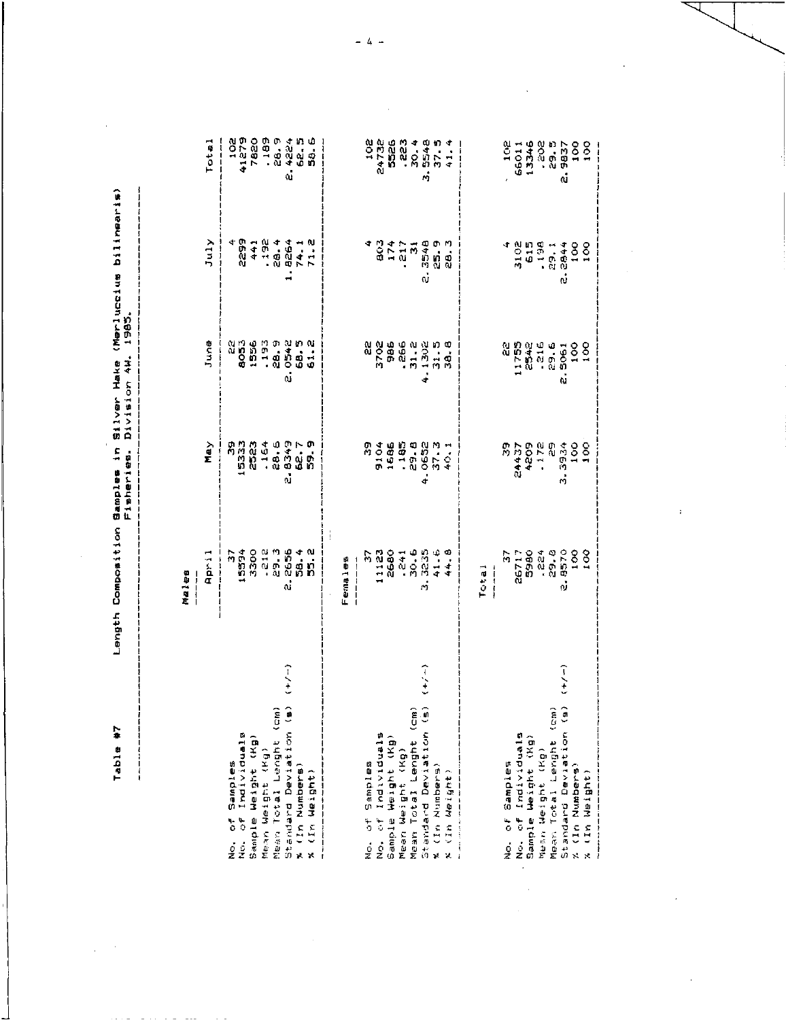Table #7

 $\bar{\beta}$  $\frac{1}{2}$ 

 $\frac{1}{1}$ 

# Length Composition Samples in Silver Hake (Merluccius bilinearis)<br>Fisheries: Division AW. 1985.

 $\frac{1}{2}$ 

 $\ddot{\phantom{a}}$ 

 $\frac{1}{2}$ 

Males

|                                                            | April 1                                                                                                                                   | May | June                                                                                                                                                                                                                                | July                                                                                                         | Total |
|------------------------------------------------------------|-------------------------------------------------------------------------------------------------------------------------------------------|-----|-------------------------------------------------------------------------------------------------------------------------------------------------------------------------------------------------------------------------------------|--------------------------------------------------------------------------------------------------------------|-------|
|                                                            |                                                                                                                                           |     |                                                                                                                                                                                                                                     |                                                                                                              |       |
|                                                            |                                                                                                                                           |     |                                                                                                                                                                                                                                     |                                                                                                              |       |
| No. of Samples<br>No. of Individuals<br>Sample Weight (Kg) |                                                                                                                                           |     |                                                                                                                                                                                                                                     |                                                                                                              |       |
|                                                            |                                                                                                                                           |     | ព្រះអង្គ ភូមិ ភូមិ<br>ប្រព័ន្ធ ភូមិ ភូមិ ភូមិ<br>ស្ថិត ភូមិ ភូមិ ភូមិ ភូមិ                                                                                                                                                          |                                                                                                              |       |
| Mean Weight (Kg)<br>Mean Total Lenght (cm)                 |                                                                                                                                           |     |                                                                                                                                                                                                                                     |                                                                                                              |       |
| Standard Deviation (B                                      |                                                                                                                                           |     | .<br>ش                                                                                                                                                                                                                              |                                                                                                              |       |
|                                                            |                                                                                                                                           |     |                                                                                                                                                                                                                                     |                                                                                                              |       |
| x (In Numbers)<br>x (In Numbers)                           | ក្នុក ក្នុង ក្នុង ក្នុង<br>- គេ ក្នុង ក្នុង ក្នុង ក្នុង<br>- ក្នុង ក្នុង ក្នុង ក្នុង ក្នុង ក្នុង<br>- ក្នុង ក្នុង ក្នុង ក្នុង ក្នុង ក្នុង |     |                                                                                                                                                                                                                                     | 0 + + + 0 + 4 + 0<br>+ + 0 + 0 + 0 + 0<br>+ + 0 0 + + 0<br>+ 1 + 0 + + 0<br>+ 1 + 0 + + + 0<br>+ + 0 + + + 0 |       |
|                                                            |                                                                                                                                           |     |                                                                                                                                                                                                                                     |                                                                                                              |       |
|                                                            |                                                                                                                                           |     |                                                                                                                                                                                                                                     |                                                                                                              |       |
|                                                            |                                                                                                                                           |     |                                                                                                                                                                                                                                     |                                                                                                              |       |
|                                                            |                                                                                                                                           |     |                                                                                                                                                                                                                                     |                                                                                                              |       |
|                                                            |                                                                                                                                           |     |                                                                                                                                                                                                                                     |                                                                                                              |       |
| No. of Samples<br>No. of Individuals<br>Sample Weight (Kg) |                                                                                                                                           |     |                                                                                                                                                                                                                                     |                                                                                                              |       |
|                                                            |                                                                                                                                           |     |                                                                                                                                                                                                                                     |                                                                                                              |       |
| Mean Weight (Kg)<br>Mean Total Lenght (cm)                 |                                                                                                                                           |     | 89884485<br><b>COSS</b> 75156<br><b>898845</b>                                                                                                                                                                                      | <b>04114967</b><br><b>1041169</b><br>1041169                                                                 |       |
| $\frac{1}{2}$<br>Standard Deviation (s                     |                                                                                                                                           |     |                                                                                                                                                                                                                                     |                                                                                                              |       |
|                                                            |                                                                                                                                           |     |                                                                                                                                                                                                                                     |                                                                                                              |       |
| x (In Numbers)<br>X (In Numbers)                           |                                                                                                                                           |     |                                                                                                                                                                                                                                     |                                                                                                              |       |
|                                                            |                                                                                                                                           |     |                                                                                                                                                                                                                                     |                                                                                                              |       |
|                                                            |                                                                                                                                           |     |                                                                                                                                                                                                                                     |                                                                                                              |       |
|                                                            |                                                                                                                                           |     |                                                                                                                                                                                                                                     |                                                                                                              |       |
| <b>BOTOERIO LO CA</b>                                      | 001<br>1990 - 1990<br>1990 - 1990<br>1990 - 1990<br>1990 - 1990<br>1990 - 1990                                                            |     |                                                                                                                                                                                                                                     |                                                                                                              |       |
|                                                            |                                                                                                                                           |     |                                                                                                                                                                                                                                     |                                                                                                              |       |
| No. of Individuals<br>Sample Weight (Kg)                   |                                                                                                                                           |     |                                                                                                                                                                                                                                     |                                                                                                              |       |
| Mesn Weight (Kg)                                           |                                                                                                                                           |     | 520 - 520 - 520 - 520 - 520 - 520 - 520 - 520 - 520 - 520 - 520 - 520 - 520 - 520 - 520 - 520 - 520 - 520 - 52<br>520 - 520 - 520 - 520 - 520 - 520 - 520 - 520 - 520 - 520 - 520 - 520 - 520 - 520 - 520 - 520 - 520 - 520 - 5<br> |                                                                                                              |       |
| Mean Total Lenght (cm                                      |                                                                                                                                           |     |                                                                                                                                                                                                                                     |                                                                                                              |       |
| (ーノ・)<br>Standard Deriver (a                               |                                                                                                                                           |     |                                                                                                                                                                                                                                     |                                                                                                              |       |
|                                                            |                                                                                                                                           |     |                                                                                                                                                                                                                                     |                                                                                                              |       |
| % (In Numbers)<br>% (In Numbers)                           |                                                                                                                                           |     |                                                                                                                                                                                                                                     |                                                                                                              |       |
|                                                            |                                                                                                                                           |     |                                                                                                                                                                                                                                     |                                                                                                              |       |

 $-4 -$ 

 $\ddot{\phantom{0}}$ 

 $\ddot{\phantom{0}}$ 

 $\frac{1}{\sqrt{2}}$ 

ł

 $\bar{\bar{1}}$ 

 $\cdot$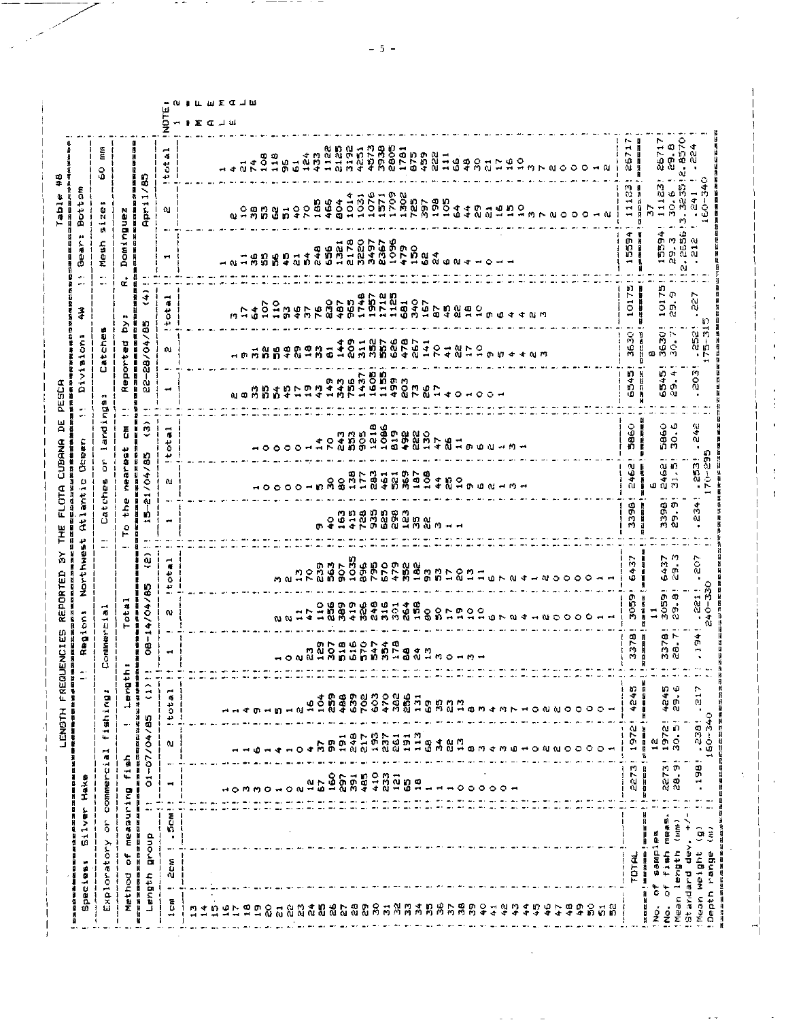| <b>COMMEPC1</b><br>$\ddot{\circ}$<br>$\blacksquare$<br><b>HOMMOHON-</b><br>ŋ<br>-<br>$\blacksquare$<br>á<br>Ħ | ÷<br>$\vec{a}$                                       |                                              |                            | Regions                                            |                                                | Northwest                              |                                                 | ω<br>ant :                      | Qoean                                                            | $\bullet$<br>$\overline{a}$         | Division                                                                                             |                                                                                                                                                                                                                                                                                                                                                                                                                                      | $\frac{3}{4}$                          | $^{\prime}$<br>$\frac{\zeta}{10}$<br>ο | å<br>$\frac{1}{5}$<br>Ā                                     |                                        |
|---------------------------------------------------------------------------------------------------------------|------------------------------------------------------|----------------------------------------------|----------------------------|----------------------------------------------------|------------------------------------------------|----------------------------------------|-------------------------------------------------|---------------------------------|------------------------------------------------------------------|-------------------------------------|------------------------------------------------------------------------------------------------------|--------------------------------------------------------------------------------------------------------------------------------------------------------------------------------------------------------------------------------------------------------------------------------------------------------------------------------------------------------------------------------------------------------------------------------------|----------------------------------------|----------------------------------------|-------------------------------------------------------------|----------------------------------------|
| <b>Measuring</b><br>$\frac{1}{2}$<br>化加热性医加热性 医精神性<br><b>dno.18</b>                                           |                                                      | shing<br>жŧ                                  | ۰.                         | <b>Drinercia</b><br>٥                              |                                                |                                        | دد<br>45<br>ω<br>-<br>$\ddotsc$                 | ă<br>đ<br>ied.<br>C             | $\blacksquare$<br>arid<br>a<br>ī                                 | 49<br>a<br>ă                        | Catche                                                                                               | φ                                                                                                                                                                                                                                                                                                                                                                                                                                    | ٠.                                     | Mesh<br>٠,                             | œ<br>Ù<br>И<br>÷<br>H.                                      | É<br>٥<br>ω                            |
|                                                                                                               | $f_1$ ah                                             | ᅪ<br>$\overline{\phantom{a}}$                | c.<br>ىد<br>Bue-           |                                                    | 埋<br>ة                                         |                                        | the<br>Q<br>۳                                   | Ę<br>Ž                          | $\overline{\overline{\overline{G}}}$<br>teet                     | α<br>п<br><br>۰.                    | eported                                                                                              | p.<br>á<br>ø                                                                                                                                                                                                                                                                                                                                                                                                                         | œ<br>f                                 | Dom:<br>IJ                             | nguez<br>Ĩ                                                  | ü<br>K<br>i                            |
|                                                                                                               | a<br>B<br>$-07/04$<br>医第三重型                          | 神話<br>782<br>l                               | Ā<br>ian Mari<br>$\hat{c}$ | $\mathbf{I}$<br>またのは笑<br>ဒွ<br>Ð                   | 14/04/85<br>医自身部位                              | æ.<br>$\widehat{\mathbf{e}}$<br>ł<br>n | Ю<br>$\overline{\phantom{a}}$<br>п<br>$\bullet$ | /04/85<br>п<br>ដូ               | ĉ<br>ш<br>м                                                      | Ñ<br>$\bullet$ .<br>Ħ               | $-28/04$<br>ω                                                                                        | /85                                                                                                                                                                                                                                                                                                                                                                                                                                  | $\hat{z}$                              |                                        | /85<br>April.                                               |                                        |
|                                                                                                               | ω.<br>۰                                              | ۊ<br>44<br>$\bullet$                         | 7                          | $\blacksquare$                                     | $\blacksquare$<br>ø                            | $\vec{r}$<br>$\frac{1}{6}$<br>نډ       | ÷                                               | Ω£                              | $\tilde{\textbf{a}}$<br>$\frac{1}{\alpha}$<br>₩<br>$\rightarrow$ | ⊸                                   |                                                                                                      | 42<br>$\overline{\phantom{0}}$<br>a.                                                                                                                                                                                                                                                                                                                                                                                                 | ⊶<br>皤<br>قة                           | ÷                                      | û.                                                          | $\vec{a}$<br>$\ddot{\circ}$<br>دی<br>٠ |
|                                                                                                               |                                                      |                                              |                            |                                                    |                                                |                                        |                                                 |                                 |                                                                  |                                     |                                                                                                      |                                                                                                                                                                                                                                                                                                                                                                                                                                      |                                        |                                        |                                                             |                                        |
|                                                                                                               |                                                      |                                              |                            |                                                    |                                                |                                        |                                                 |                                 |                                                                  |                                     |                                                                                                      |                                                                                                                                                                                                                                                                                                                                                                                                                                      |                                        |                                        |                                                             |                                        |
|                                                                                                               |                                                      |                                              |                            |                                                    |                                                |                                        |                                                 |                                 |                                                                  |                                     |                                                                                                      |                                                                                                                                                                                                                                                                                                                                                                                                                                      |                                        |                                        |                                                             |                                        |
|                                                                                                               |                                                      |                                              |                            |                                                    |                                                |                                        |                                                 |                                 |                                                                  | 01 Q                                |                                                                                                      |                                                                                                                                                                                                                                                                                                                                                                                                                                      | r                                      |                                        |                                                             |                                        |
|                                                                                                               |                                                      |                                              |                            |                                                    |                                                |                                        |                                                 |                                 |                                                                  |                                     |                                                                                                      |                                                                                                                                                                                                                                                                                                                                                                                                                                      | $\cdot$<br>Ŵ                           |                                        |                                                             |                                        |
|                                                                                                               |                                                      |                                              |                            |                                                    |                                                |                                        |                                                 |                                 |                                                                  | ី ឆ្ល                               | $\frac{1}{2}$                                                                                        |                                                                                                                                                                                                                                                                                                                                                                                                                                      | $\frac{5}{2}$                          |                                        |                                                             |                                        |
|                                                                                                               |                                                      | ю                                            |                            |                                                    | w w                                            |                                        |                                                 | $\circ$                         |                                                                  |                                     |                                                                                                      | Å,                                                                                                                                                                                                                                                                                                                                                                                                                                   | 1234528                                | <b>18589534</b>                        | 090019228                                                   |                                        |
|                                                                                                               |                                                      | $-8$                                         |                            |                                                    |                                                |                                        |                                                 | $\circ$                         | $\circ$ $\circ$                                                  | ဂ္                                  |                                                                                                      |                                                                                                                                                                                                                                                                                                                                                                                                                                      |                                        |                                        |                                                             |                                        |
|                                                                                                               | ٠                                                    | ٠٥                                           |                            |                                                    | $\frac{1}{4}$                                  |                                        |                                                 |                                 | $\overline{\phantom{a}}$                                         |                                     |                                                                                                      |                                                                                                                                                                                                                                                                                                                                                                                                                                      |                                        |                                        |                                                             |                                        |
| $\frac{a}{2}$                                                                                                 |                                                      | $\frac{3}{5}$                                |                            |                                                    |                                                | $289$<br>$789$                         |                                                 | - ព 9 8                         | $\rightarrow$ N                                                  | R D D D D<br>P D D D D<br>P D D D D |                                                                                                      | 38385                                                                                                                                                                                                                                                                                                                                                                                                                                |                                        |                                        |                                                             |                                        |
| $\frac{3}{4}$                                                                                                 |                                                      | <b>N</b>                                     | S,                         |                                                    |                                                | 563                                    |                                                 |                                 | ÷ o                                                              |                                     |                                                                                                      |                                                                                                                                                                                                                                                                                                                                                                                                                                      |                                        |                                        | 466<br>804                                                  |                                        |
|                                                                                                               | ន្លូង                                                | 488                                          |                            |                                                    |                                                | 50                                     |                                                 |                                 |                                                                  |                                     |                                                                                                      | 144                                                                                                                                                                                                                                                                                                                                                                                                                                  | 487<br>965                             |                                        |                                                             |                                        |
| 165<br>25                                                                                                     | $\frac{9}{2}$                                        |                                              |                            |                                                    |                                                | 1035                                   |                                                 |                                 |                                                                  |                                     |                                                                                                      |                                                                                                                                                                                                                                                                                                                                                                                                                                      |                                        | <b>952780</b><br>132780<br>3220        | $1014$<br>$1031$                                            |                                        |
| 485                                                                                                           |                                                      | 539<br>702                                   |                            |                                                    |                                                |                                        |                                                 |                                 |                                                                  |                                     |                                                                                                      |                                                                                                                                                                                                                                                                                                                                                                                                                                      |                                        |                                        |                                                             |                                        |
|                                                                                                               | ្ត្រីក្នុងក្នុង<br>ក្នុងកំពុងក្នុង                   |                                              |                            |                                                    | 10900999148<br>10918416981881999               | <b>980028</b><br>890028                |                                                 | 12045614<br>120468460           |                                                                  |                                     | ー、アカラー、コード、アカリストの「アカリ」、「アカリ」、「コンクス」、「コンクス」、「コンクス」、「コンクス」、「コンク」、「コンク」、「コンク」、「コンク」、「コンク」、「コンク」、「コンク」、「 | <b>9185268</b><br><b>918526</b>                                                                                                                                                                                                                                                                                                                                                                                                      | 1748<br>1957<br>17125<br>17125         |                                        | 11111281116<br>12208118904<br>12208118904                   |                                        |
|                                                                                                               |                                                      | 2888                                         |                            |                                                    |                                                |                                        |                                                 |                                 |                                                                  |                                     |                                                                                                      |                                                                                                                                                                                                                                                                                                                                                                                                                                      |                                        |                                        |                                                             |                                        |
|                                                                                                               |                                                      |                                              |                            |                                                    |                                                |                                        |                                                 |                                 |                                                                  |                                     |                                                                                                      |                                                                                                                                                                                                                                                                                                                                                                                                                                      |                                        |                                        |                                                             |                                        |
|                                                                                                               |                                                      | $\blacksquare$                               | $\overline{\mathbf{r}}$    |                                                    |                                                | ត្ត<br>ត្តព្លួងខ្លីដូ                  |                                                 |                                 |                                                                  |                                     |                                                                                                      | 267                                                                                                                                                                                                                                                                                                                                                                                                                                  | ង់<br>អូច ដំបូង អូច ក្នុង មាន<br>ក្នុង |                                        |                                                             |                                        |
|                                                                                                               |                                                      |                                              |                            |                                                    |                                                |                                        |                                                 |                                 |                                                                  |                                     |                                                                                                      |                                                                                                                                                                                                                                                                                                                                                                                                                                      |                                        |                                        |                                                             |                                        |
|                                                                                                               | <b>GANA</b><br>GWMH GW 4 W G + O M M                 | <b>O D N N<br/>Q N N H Q N + N N + O N N</b> |                            |                                                    |                                                |                                        |                                                 | <b>400000000</b>                |                                                                  |                                     |                                                                                                      | $\begin{array}{ccccccccc}\n\mathbf{\ddot{4}} & \mathbf{0} & \mathbf{0} & \mathbf{0} & \mathbf{1} & \mathbf{0} & \mathbf{0} & \mathbf{0} & \mathbf{0} & \mathbf{0} & \mathbf{0} & \mathbf{0} & \mathbf{0} & \mathbf{0} & \mathbf{0} & \mathbf{0} & \mathbf{0} & \mathbf{0} & \mathbf{0} & \mathbf{0} & \mathbf{0} & \mathbf{0} & \mathbf{0} & \mathbf{0} & \mathbf{0} & \mathbf{0} & \mathbf{0} & \mathbf{0} & \mathbf{0} & \mathbf{$ |                                        |                                        |                                                             |                                        |
|                                                                                                               |                                                      |                                              |                            |                                                    |                                                |                                        |                                                 |                                 |                                                                  |                                     |                                                                                                      |                                                                                                                                                                                                                                                                                                                                                                                                                                      |                                        |                                        |                                                             |                                        |
|                                                                                                               |                                                      |                                              |                            |                                                    |                                                |                                        |                                                 |                                 |                                                                  |                                     |                                                                                                      |                                                                                                                                                                                                                                                                                                                                                                                                                                      |                                        |                                        |                                                             |                                        |
|                                                                                                               |                                                      |                                              |                            |                                                    |                                                | $\overline{\phantom{a}}$               |                                                 |                                 |                                                                  |                                     |                                                                                                      |                                                                                                                                                                                                                                                                                                                                                                                                                                      |                                        |                                        |                                                             |                                        |
|                                                                                                               |                                                      |                                              |                            |                                                    |                                                |                                        |                                                 |                                 |                                                                  |                                     |                                                                                                      |                                                                                                                                                                                                                                                                                                                                                                                                                                      |                                        |                                        |                                                             |                                        |
|                                                                                                               |                                                      |                                              |                            |                                                    |                                                |                                        |                                                 |                                 |                                                                  |                                     |                                                                                                      |                                                                                                                                                                                                                                                                                                                                                                                                                                      |                                        |                                        |                                                             |                                        |
|                                                                                                               |                                                      |                                              |                            |                                                    | $0.7684 \div 0.0000$                           | <b>HUNU4HUO</b>                        |                                                 |                                 |                                                                  |                                     |                                                                                                      |                                                                                                                                                                                                                                                                                                                                                                                                                                      |                                        |                                        | 201977<br>$  m \wedge u \circ \circ \circ$                  |                                        |
|                                                                                                               |                                                      |                                              |                            |                                                    |                                                |                                        |                                                 |                                 |                                                                  |                                     |                                                                                                      |                                                                                                                                                                                                                                                                                                                                                                                                                                      |                                        |                                        |                                                             |                                        |
|                                                                                                               |                                                      |                                              |                            |                                                    |                                                |                                        |                                                 |                                 |                                                                  |                                     |                                                                                                      |                                                                                                                                                                                                                                                                                                                                                                                                                                      |                                        |                                        |                                                             |                                        |
|                                                                                                               |                                                      |                                              |                            |                                                    |                                                |                                        |                                                 |                                 |                                                                  |                                     |                                                                                                      |                                                                                                                                                                                                                                                                                                                                                                                                                                      |                                        |                                        |                                                             |                                        |
|                                                                                                               | $\circ$                                              |                                              |                            |                                                    |                                                | ۰                                      |                                                 |                                 |                                                                  |                                     |                                                                                                      |                                                                                                                                                                                                                                                                                                                                                                                                                                      |                                        |                                        |                                                             |                                        |
|                                                                                                               | ٥                                                    | $\circ$ $\circ$                              |                            |                                                    |                                                | ∘                                      |                                                 |                                 |                                                                  |                                     |                                                                                                      |                                                                                                                                                                                                                                                                                                                                                                                                                                      |                                        |                                        |                                                             |                                        |
|                                                                                                               | o                                                    | ۰                                            |                            |                                                    |                                                | o                                      |                                                 |                                 |                                                                  |                                     |                                                                                                      |                                                                                                                                                                                                                                                                                                                                                                                                                                      |                                        |                                        |                                                             |                                        |
|                                                                                                               | $\circ$                                              |                                              |                            |                                                    |                                                |                                        |                                                 |                                 |                                                                  |                                     |                                                                                                      |                                                                                                                                                                                                                                                                                                                                                                                                                                      |                                        |                                        |                                                             | ⊸ ฌ                                    |
|                                                                                                               |                                                      |                                              |                            |                                                    |                                                |                                        |                                                 |                                 |                                                                  |                                     |                                                                                                      |                                                                                                                                                                                                                                                                                                                                                                                                                                      |                                        |                                        |                                                             |                                        |
| 2273                                                                                                          | Ğ<br>÷                                               | Ö,<br>$\mathbf{I}$                           | 4245                       | 3378                                               | ø<br>in<br>R                                   | 37<br>ś                                | 3398                                            | 462<br>û                        | 5860                                                             | ġ,                                  | n<br>¢                                                                                               | 3630                                                                                                                                                                                                                                                                                                                                                                                                                                 | m<br>1017                              | ¢<br>e<br>SS<br>$\blacksquare$         | $\frac{1}{2}$<br>$\overline{\phantom{a}}$<br>$\blacksquare$ | 1-<br>2671                             |
| I<br>Ð<br>H                                                                                                   | f<br>D<br>В                                          |                                              | į                          | И<br>日本語                                           | 自動車                                            | Į                                      | 电电阻器                                            | 医神经性                            | 具有性质                                                             |                                     | Ð<br>ä<br>计算                                                                                         | 1992.00                                                                                                                                                                                                                                                                                                                                                                                                                              | Ħ<br>ä                                 | H<br>Ĥ<br>a                            | p<br>Ä<br>ö<br>N<br>-9<br>m<br>Я                            | 月月日                                    |
|                                                                                                               | a                                                    |                                              |                            |                                                    | m<br>505<br>⊣                                  | Ā                                      |                                                 | Φ                               | 5880<br>$\cdots$                                                 |                                     | Φ<br>U)<br>$\frac{4}{9}$                                                                             | $\ddot{}$<br>3630                                                                                                                                                                                                                                                                                                                                                                                                                    | m<br>F<br>$\ddot{\circ}$<br>÷,         | 15594                                  | 11127                                                       | 26717                                  |
| 2273<br>$\ddot{\bullet}$<br>Ñ<br>网络街区<br>(mm)                                                                 | $\ddot{\mathbf{S}}$<br>$\overline{\phantom{0}}$<br>ጦ | Ωì<br>376<br>Ю                               | 4245<br>ŵ<br>ń             | Φr<br>$\frac{25}{25}$<br>$\blacksquare$<br>аа<br>С | 29.B                                           | -19<br>5<br>.<br>m<br>Φ<br>Ñ           | 88<br>90<br>79. OJ                              | $\frac{1}{2}$<br>$2468$<br>31.5 | Φ<br>$\dot{S}$                                                   | Ń,                                  | $\blacktriangleleft$<br>ó                                                                            | $\overline{\phantom{a}}$<br>30.7                                                                                                                                                                                                                                                                                                                                                                                                     | ক<br>ń<br>O,                           |                                        | 30. G                                                       | $29.8$<br>$2.8570$                     |
| $\widetilde{\cdot}$                                                                                           |                                                      |                                              |                            |                                                    |                                                |                                        |                                                 |                                 |                                                                  |                                     |                                                                                                      |                                                                                                                                                                                                                                                                                                                                                                                                                                      |                                        | 29.3<br>Ń                              | 32.35<br>p,<br>۰.                                           | $\overline{\phantom{a}}$               |
| $\blacksquare$<br>$\widehat{\mathbf{a}}$                                                                      | $\bullet$<br>56                                      | $\blacksquare$<br>$\bullet$<br>33            | ∼<br>$\frac{1}{2}$         | ۰<br>o,<br>$\rightarrow$                           | $40 - 330$<br>$\frac{1}{2}$<br>$\bullet$<br>٠. | 502<br>٠<br>٠                          | 234                                             | $70 - 295$<br>253<br>٠          | $\frac{a}{4}$<br>۵J<br>$\blacksquare$<br>٠.                      |                                     | N<br>$\bullet$<br>$\ddot{}$<br>٠<br>f9<br>g                                                          | ID.<br>$5 - 31$<br>្លួន                                                                                                                                                                                                                                                                                                                                                                                                              | δ,<br>ω<br>$\bullet$                   |                                        | 74<br>241<br>$60-$<br>÷,                                    | ◆<br>$\alpha$<br>9d<br>$\bullet$<br>c  |

÷.

 $\frac{1}{4}$  $\bar{\Gamma}$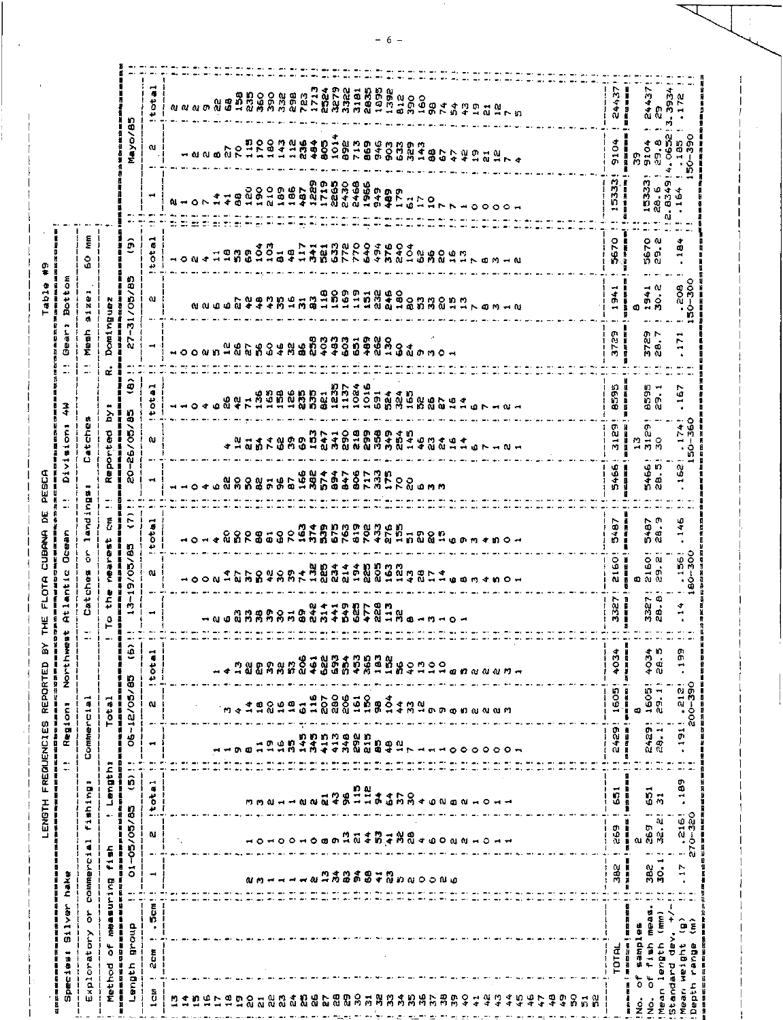| ç<br><b>Bottom</b><br>Table                                    | Ę<br>٥<br>£Ū.<br>œ<br>Ù.<br>Ñ<br>÷<br>事                                      | ŧ                                                | Mayo/85<br>ô<br>N)<br>31/05/8                | $\overline{\phantom{a}}$<br>$t$ of<br>a.<br>-<br>Ħ<br>$\sim$<br>$o$ tal<br>دد<br>શ     | ۵ı | <i><b>លេសលក្សី ឆ្នំ</b></i><br>$\circ$ $\sim$<br>ณ ณ | ÷<br>⊸ ©<br>۱ū. | ្តិធិត្តធ្នា<br>$\vec{r}$<br>3<br>19<br>uû. | 1150<br>1760<br>120<br>$\frac{8}{9}$                                                         | $\frac{0}{2}$ | $189$<br>$186$       |                                                     |     |                                                                |      |                 |     | 329<br>n<br>hdeger            |                      |      | $\rightarrow$ 0 |           | $\circ$ $\circ$ | ្ន្តី<br>ស្តាន់ប្តីប្តី បានបង្កើត មានមាន មាន ១០<br>ដែលមាន មាន ក្រសួង ក្នុង មាន មាន មាន ក្នុង ក្នុង ក្នុង ក្រុម<br>$\circ$<br>ちらアアちょうと163に1178312111 ひょうアクルラアムりきゅうこうらう<br>$\rightarrow \rightarrow \quad \text{or} \quad \rightarrow \quad \text{or}$ |  |                                              | 24437<br>9104<br>5333<br>$\blacktriangleright$<br>5670<br>÷<br>$\frac{4}{9}$<br>$\blacksquare$ | i<br>Ľ<br>Я<br>i<br>15333<br>医脑膜炎<br>п<br>r<br>tion and<br>٥    |           | 24437<br>3.3934<br>C<br>4.0652<br>9104<br>29.8<br>Ù.<br>28.6<br>ຜ່<br>5670<br>29<br>30.2<br>$\rightarrow$<br>194 |
|----------------------------------------------------------------|------------------------------------------------------------------------------|--------------------------------------------------|----------------------------------------------|----------------------------------------------------------------------------------------|----|------------------------------------------------------|-----------------|---------------------------------------------|----------------------------------------------------------------------------------------------|---------------|----------------------|-----------------------------------------------------|-----|----------------------------------------------------------------|------|-----------------|-----|-------------------------------|----------------------|------|-----------------|-----------|-----------------|------------------------------------------------------------------------------------------------------------------------------------------------------------------------------------------------------------------------------------------------------|--|----------------------------------------------|------------------------------------------------------------------------------------------------|-----------------------------------------------------------------|-----------|------------------------------------------------------------------------------------------------------------------|
|                                                                | Mesh<br>∸.<br>$\overline{a}$                                                 | Dominguez<br>医反应系统<br>ł<br>٠<br>œ                | $\frac{1}{2}$<br>٠.<br>$\hat{\mathbf{e}}$    | $\overline{\phantom{0}}$<br>$\ddot{\bullet}$                                           |    | $00$ $u$ $n$                                         |                 | ္မ ဖို                                      | ក្នុងទ                                                                                       |               |                      |                                                     |     |                                                                |      |                 |     |                               |                      |      |                 |           |                 |                                                                                                                                                                                                                                                      |  |                                              | o<br>378                                                                                       | ■■■                                                             |           | 3729<br>28 7<br>ti J<br>$\overline{\phantom{a}}$                                                                 |
| 국<br>tion:                                                     | atche<br>٥                                                                   | à<br>Reported<br>i                               | 20-26/05/85                                  | ő<br>دد<br>ω                                                                           |    |                                                      |                 | ωw<br>۵ł                                    | 7368<br>7368<br>7458<br><b>GAT8898</b>                                                       |               |                      |                                                     | 747 | ា O @ @ @ @ < ហ<br>ទាំង @ ញ ទំពុំទំបូក<br>ក្លូង @ ក្តីពី កំបូក | 1024 | $1016$<br>$691$ | 524 | ង<br>សូមសូតូងូម<br>កូមសូតូងូម |                      | 2494 | ∢               | ۱۵ ۱<br>w | $-101$          |                                                                                                                                                                                                                                                      |  |                                              | 8595<br>3129                                                                                   | 医尿族产<br>目标<br>m<br>$\blacksquare$                               |           | .<br>ღ<br>859<br>3129<br>S                                                                                       |
| Divi<br>PESCA<br>1                                             | m<br>⊞<br>c                                                                  | I<br>ī<br>٠.                                     |                                              | ⊣                                                                                      |    | $\circ$                                              | Ŵ               | 있 유                                         | <b>88585</b>                                                                                 |               |                      | <b>ものにキャフらている。</b><br>このアウキのコミアクの<br>このはのののアミナアのらうり |     |                                                                |      |                 |     |                               |                      |      |                 |           |                 |                                                                                                                                                                                                                                                      |  |                                              | 5466                                                                                           | Î<br>ß                                                          |           | 5466<br>28. 5                                                                                                    |
| FLOTA CUBANA DE<br>Dcean<br>Г<br>Ī<br>O<br>f                   | and <sub>1</sub><br>−<br>$\stackrel{\scriptstyle \zeta}{\scriptstyle \rm o}$ | $\tilde{t}$<br>J,<br>J<br>nearest<br>Ū<br>mas an | $\tilde{c}$<br>9/05/85                       | $o$ tai<br>4<br>ω                                                                      |    |                                                      | $\circ$ $\circ$ | ន្ល ន្ល<br>$\frac{4}{9}$                    | 8<br>r.                                                                                      | $\frac{a}{4}$ | <b>SSLESS SSLESS</b> |                                                     |     |                                                                |      |                 |     | តនិ<br>ស<br>កំនុំ ស្ថិ        | o n<br>GJ.<br>÷<br>r |      | m m             |           |                 | ७ の ♡ ↓ の 〇 →                                                                                                                                                                                                                                        |  |                                              | 5487<br>å<br>ភូ                                                                                | Į<br>Ð<br>œ                                                     |           | m<br>5487<br>a.<br>2160                                                                                          |
| ant 1<br>÷<br>ä<br>THE<br>T<br>Ä<br>mas an                     | ches<br>$\frac{1}{6}$<br>υ                                                   | the<br>I<br>٥<br>r<br>۳<br>я                     | $\frac{1}{2}$<br>₹                           | ⊣                                                                                      |    |                                                      |                 | $-0.0000000000$                             |                                                                                              |               |                      | $\frac{3}{2}$                                       |     | 1198781<br>1198781                                             |      |                 |     | ă,                            | $0 - m - O$          |      |                 |           |                 |                                                                                                                                                                                                                                                      |  |                                              | 3327                                                                                           |                                                                 |           | 3327<br>œ<br>a.                                                                                                  |
| Northwest<br>出名集集出言                                            |                                                                              |                                                  | $\hat{\mathbf{e}}$                           | !total                                                                                 |    |                                                      |                 |                                             |                                                                                              |               |                      |                                                     |     |                                                                |      |                 |     |                               |                      |      |                 |           |                 |                                                                                                                                                                                                                                                      |  |                                              | 4034<br>1605                                                                                   | i<br>Saman<br>m of ex                                           |           | Ю<br>4034<br>$\bullet$<br>នី<br>1605<br><b>TH</b><br>ó.                                                          |
| LENGTH FREQUENCIES REPORTED BY<br><b>Regions</b><br>H<br>a a s | Commercial                                                                   | Tota <sub>1</sub><br>l<br>s                      | 06-12/05/85                                  | <b>N</b><br>$\blacksquare$                                                             |    |                                                      |                 |                                             |                                                                                              | 8525          |                      |                                                     |     |                                                                |      |                 |     |                               |                      |      |                 |           |                 |                                                                                                                                                                                                                                                      |  |                                              | 1<br>16345<br>¢.                                                                               | œ<br>٠                                                          |           | n,<br>2429<br>28.1                                                                                               |
| ٠.<br>÷.<br>п                                                  | $\mathbf{m}$<br>shing?                                                       | Length:<br>f<br>L.                               | $\overline{\phantom{a}}$<br>u<br>ê           | total<br>$\bullet$                                                                     |    |                                                      |                 |                                             |                                                                                              |               |                      |                                                     |     |                                                                |      |                 |     |                               |                      |      |                 |           |                 |                                                                                                                                                                                                                                                      |  |                                              | $\overline{5}$                                                                                 | Å<br>ā                                                          |           | $\frac{1}{2}$<br>$\overline{5}$                                                                                  |
|                                                                | $\overline{\phantom{a}}$<br>۴<br>m,                                          |                                                  | -05/05/85<br>I<br>IJ<br>man man<br>$\vec{0}$ | o.<br>$\qquad \qquad \bullet$                                                          |    |                                                      |                 |                                             | 1010010891049304808810101                                                                    |               |                      |                                                     |     |                                                                |      |                 |     |                               |                      |      |                 |           |                 |                                                                                                                                                                                                                                                      |  |                                              | 269                                                                                            | n<br>$\mathbf{u}$<br>ā<br>в                                     |           | 269<br>32. 21<br>30.1                                                                                            |
| Ř<br><b>Silver</b><br>Species:                                 | COMMERCIA<br>Exploratory or                                                  | measuring fish<br>ð<br>Method                    | 自動車は無料<br>diroid<br>Length<br>自我的复数          | $\rightarrow$<br>$\bullet$<br>5 <sub>cm</sub><br>٠,<br>2cm<br>$\overline{\phantom{a}}$ |    |                                                      |                 |                                             | <b>លាច់ -- - - ។ ។ ភូមិទួលក្នុង គួលបានបាន</b><br><b>បានបានបានបង្កើត្តិក្នុង</b> ស្រែក បានបាន |               |                      |                                                     |     |                                                                |      |                 |     |                               |                      |      |                 |           |                 |                                                                                                                                                                                                                                                      |  |                                              | 382<br><b>TOTAL</b>                                                                            | į<br>ii<br>Na<br><b>SOLONE</b><br>有記事に書<br>$\overline{\bullet}$ |           | 382<br>11045<br>(mm)<br>ì<br>$f$ ish<br>ean length<br>Standard de<br>Mean weight<br>$\overline{\mathfrak{o}}$    |
|                                                                |                                                                              |                                                  |                                              | ă<br>$\overline{\phantom{0}}$                                                          |    |                                                      |                 |                                             |                                                                                              |               |                      |                                                     |     |                                                                |      |                 |     |                               |                      |      |                 |           |                 |                                                                                                                                                                                                                                                      |  | 19199858888886888888888888889449494945498858 |                                                                                                | Į                                                               | $\dot{z}$ | $\frac{1}{2}$<br>Σ                                                                                               |

 $-6-$ 

 $\frac{1}{2}$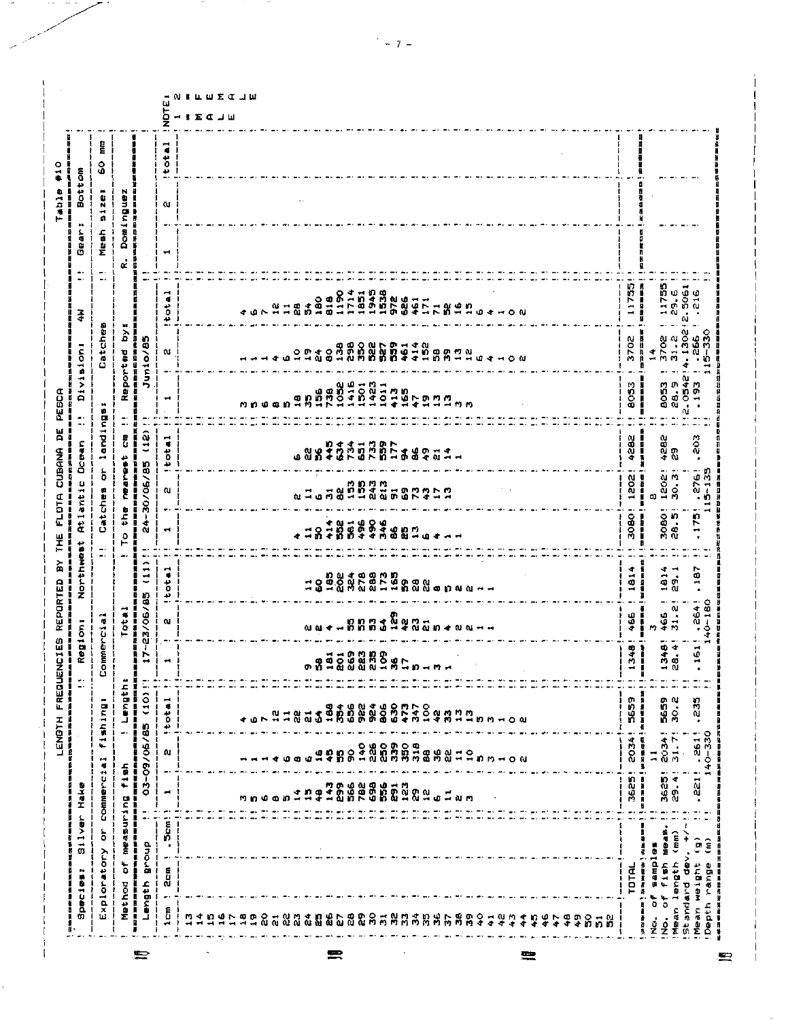| Ê<br>otail<br>۰<br>Ō<br>÷,<br>$\bullet$<br>t.<br>Domingue<br>w<br>÷<br>n<br>Mesh<br>∽<br>¢.<br>я<br>$\overline{\phantom{a}}$<br>٠.<br>11755<br>-----<br>11755<br>29.6<br>2.5061<br>216<br>51511156<br>1967156766<br>196715876768<br>total<br>417184564102<br>$21 - 20$<br>л<br>ተ በ<br>ส่<br>Catche<br>$\begin{array}{r} 3702 \\ 31.2 \\ 4.1302 \\ \hline \end{array}$<br>$\begin{array}{r} 4.1302 \\ 266 \\ 15-330 \end{array}$<br>Σ<br>医白细胞球菌性白细胞<br>3702<br>Junio/85<br>计时间<br>$\begin{smallmatrix} 4&0&0&0&0\\ 4&0&0&0&0\\ 0&0&-1&0&0 \end{smallmatrix}$<br>្រាំង ស្រុក មាន ស្រុក មាន ស្រុក មាន ស្រុក មាន ស្រុក មាន ស្រុក មាន ស្រុក មាន ស្រុក មាន ស្រុក មាន ស្រុក ស្រុក ស្<br>ស្រុក ស្រុក ស្រុក ស្រុក ស្រុក មាន ស្រុក មាន ស្រុក ស្រុក ស្រុក ស្រុក ស្រុក ស្រុក ស្រុក ស្រុក ស្រុក ស្រុក ស្រុក<br>eported<br>m<br>۰<br>N<br>$\frac{4}{1}$<br>$\blacktriangleright$<br>28.9<br> 2.0542<br>  193<br>8053<br><b>8053</b><br>į<br>œ<br>$\overline{\phantom{a}}$<br>mnoo<br>m<br>landings<br>$\blacksquare$<br>$\overline{\phantom{a}}$<br>(12)<br>តិ<br>4282<br>$\frac{3}{2}$<br>F<br>total<br>4282<br>Į<br><b>もんなり こうこうかい あやいいりょう こうしょう こうじょう ありまる おおおおし かんかい しょうこう アイト コココン</b><br>៰៷៓ៜ<br>$\mathbf{D}$<br>Ö.<br>meanest<br>٠<br>Ī<br>30/06/85<br>ĭ<br>$\bullet$<br>ò<br>$5 - 1.35$<br><br>1202<br>1202<br>276<br>精神 明治<br>į<br>ないこと ないこと こうきょう こうきょう しょうかい いんかん いちゅうかい<br>Catches<br>u.<br>C)<br>t,<br>$\bullet$<br>в<br>$\frac{1}{2}$<br>3080!<br>30801<br>man and an<br>175<br>٠<br>Ñ<br>á<br><b>1999</b><br>8994<br>414<br>ងនួក ។<br>ន្ត<br>$\mathbf{1}$<br>$\blacksquare$<br>٥<br>⊢<br>щ.<br>æ.<br>٠<br>(11)<br>⋖<br>÷<br>7<br>187<br>第一章 第一章<br>.<br>ش<br>19.88<br>ង្គាត់<br>ក្នុងមានមាន<br>ស្ថិត្តដំបូង ក្នុងប្រទេសក្នុង<br>181<br>181<br>븅<br>9<br>άt<br>٠<br>$17 - 23/06/85$<br>D.<br>دی<br>$0 - 180$<br>$466$<br>31. 2<br>264<br>Tota<br>466<br>្គុំ<br>ពេលបានបំផ្លូយ។<br>ពេលបានបំផ្លូយនាងបំផុត។<br>I<br>ommercia<br>ω<br>i<br>N<br>0.014<br>m<br>$-340$<br>1348<br>ä<br>$\frac{1}{2}$<br>n<br>N<br>ុត្តព្រឹត្តព្រឹ<br>ព្រឹត្តព្រឹត្តព្រឹត្តព្រឹត្តព្រឹត្តព្រឹត្តព្រឹត្តព្រឹត្តព្រឹត្តព្រឹត្តព្រឹត្តព្រឹត្តព្រឹត្តព្រ<br>ព្រឹត្តព្រឹត្តព្រឹត្តព្រឹត្តព្រឹត្តព្រឹត្តព្រឹត្តព្រឹត្តព្រឹត្តព្រឹត្តព្រឹត្តព្រ<br>ł<br>w<br>÷<br>o.<br>i<br>M<br>44<br>ū<br>自称於國際海道和福州通事長年年後後国語或國<br>03-09/06/85 (10)!<br>! Length<br>5659<br>5659<br>fishing:<br>total<br>235<br>青美な一杯色 ( は) なまま<br>30.2<br>630<br>473<br>656<br>ូង ១<br>ភូមិ ១<br>$\frac{6}{2}$<br>36 <sup>4</sup><br>347<br><b>វង្គុងដូ</b><br>ក្នុងដូត្រូង ។ បំព<br><b>a</b><br>ၛ<br>$\boldsymbol{\mathcal{Z}}$<br>$\vec{a}$<br>$\bullet$<br>ı<br>$\bullet$ .<br>2034!<br>$40 - 330$<br><b>1195</b><br>31.7<br>2034<br>W.<br>$\mathbf{1}$<br>$\vec{a}$<br>$\bullet$<br>measuring fish<br>commerc!<br>3625!<br>$\overline{\phantom{a}}$<br>29.41<br>医胃肠炎<br>$\ddot{a}$<br>T<br>្សី<br>366<br>782<br>698<br>556<br>្លួ<br>ព្រឹត្តិ<br>ដែលដែលដែលកា<br>t es<br>$\frac{1}{4}$<br>ဌ<br>n<br>÷.<br>$\blacksquare$<br>◆<br>۹ğ<br><b>ា</b> ពាប់ <b>០</b> រោ<br>л.<br>$\ddot{ }$<br><b>Them!</b><br>【医自由当时】经常被发生的治疗。<br>$\frac{\zeta}{\zeta}$<br>投气心区<br>$\binom{m}{m}$<br>¥<br>ĝ<br><b>BLoub</b><br>i.<br>$\bullet$<br>Exploratory<br>。<br>UB<br><b>TORS</b><br>$f$ 1sh<br>b<br>Mean length<br>ł<br>Depth range<br>Mean weight<br>TOTAL<br>2cm<br>Length<br>Method<br>医室室室室室室<br>Standard<br>$\frac{1}{\alpha}$<br>č<br>20202020353535885889944444<br>ଌ<br>ង ង<br>444555<br>$\overline{\mathbf{a}}$<br>ó<br>Ž<br>$\frac{1}{2}$<br>$\ddot{ }$ | Species:<br>Ŗ. | Silver Hake |  | Ì. | Regions | Northeat | <b>Atlantic</b> | <b>D</b> cean | .,<br>٠. | Divisions | $\frac{3}{4}$ | ٠.<br>$\bullet$ | ы,<br><b>Gear</b> | Bottom |  |
|--------------------------------------------------------------------------------------------------------------------------------------------------------------------------------------------------------------------------------------------------------------------------------------------------------------------------------------------------------------------------------------------------------------------------------------------------------------------------------------------------------------------------------------------------------------------------------------------------------------------------------------------------------------------------------------------------------------------------------------------------------------------------------------------------------------------------------------------------------------------------------------------------------------------------------------------------------------------------------------------------------------------------------------------------------------------------------------------------------------------------------------------------------------------------------------------------------------------------------------------------------------------------------------------------------------------------------------------------------------------------------------------------------------------------------------------------------------------------------------------------------------------------------------------------------------------------------------------------------------------------------------------------------------------------------------------------------------------------------------------------------------------------------------------------------------------------------------------------------------------------------------------------------------------------------------------------------------------------------------------------------------------------------------------------------------------------------------------------------------------------------------------------------------------------------------------------------------------------------------------------------------------------------------------------------------------------------------------------------------------------------------------------------------------------------------------------------------------------------------------------------------------------------------------------------------------------------------------------------------------------------------------------------------------------------------------------------------------------------------------------------------------------------------------------------------------------------------------------------------------------------------------------------------------------------------------------------------------------------------------------------------------------------------------------------------------------------------------------------------------------------------------------------------------------------------------------------------------------------------------------------------------------------------------------------------------------------------------------------------------------------------------------------------------------------------------------------------------------------------------|----------------|-------------|--|----|---------|----------|-----------------|---------------|----------|-----------|---------------|-----------------|-------------------|--------|--|
|                                                                                                                                                                                                                                                                                                                                                                                                                                                                                                                                                                                                                                                                                                                                                                                                                                                                                                                                                                                                                                                                                                                                                                                                                                                                                                                                                                                                                                                                                                                                                                                                                                                                                                                                                                                                                                                                                                                                                                                                                                                                                                                                                                                                                                                                                                                                                                                                                                                                                                                                                                                                                                                                                                                                                                                                                                                                                                                                                                                                                                                                                                                                                                                                                                                                                                                                                                                                                                                                                            |                |             |  |    |         |          |                 |               |          |           |               |                 |                   |        |  |
|                                                                                                                                                                                                                                                                                                                                                                                                                                                                                                                                                                                                                                                                                                                                                                                                                                                                                                                                                                                                                                                                                                                                                                                                                                                                                                                                                                                                                                                                                                                                                                                                                                                                                                                                                                                                                                                                                                                                                                                                                                                                                                                                                                                                                                                                                                                                                                                                                                                                                                                                                                                                                                                                                                                                                                                                                                                                                                                                                                                                                                                                                                                                                                                                                                                                                                                                                                                                                                                                                            |                |             |  |    |         |          |                 |               |          |           |               |                 |                   |        |  |
|                                                                                                                                                                                                                                                                                                                                                                                                                                                                                                                                                                                                                                                                                                                                                                                                                                                                                                                                                                                                                                                                                                                                                                                                                                                                                                                                                                                                                                                                                                                                                                                                                                                                                                                                                                                                                                                                                                                                                                                                                                                                                                                                                                                                                                                                                                                                                                                                                                                                                                                                                                                                                                                                                                                                                                                                                                                                                                                                                                                                                                                                                                                                                                                                                                                                                                                                                                                                                                                                                            |                |             |  |    |         |          |                 |               |          |           |               |                 |                   |        |  |
|                                                                                                                                                                                                                                                                                                                                                                                                                                                                                                                                                                                                                                                                                                                                                                                                                                                                                                                                                                                                                                                                                                                                                                                                                                                                                                                                                                                                                                                                                                                                                                                                                                                                                                                                                                                                                                                                                                                                                                                                                                                                                                                                                                                                                                                                                                                                                                                                                                                                                                                                                                                                                                                                                                                                                                                                                                                                                                                                                                                                                                                                                                                                                                                                                                                                                                                                                                                                                                                                                            | $1 \text{cm}$  |             |  |    |         |          |                 |               |          |           |               |                 |                   |        |  |
|                                                                                                                                                                                                                                                                                                                                                                                                                                                                                                                                                                                                                                                                                                                                                                                                                                                                                                                                                                                                                                                                                                                                                                                                                                                                                                                                                                                                                                                                                                                                                                                                                                                                                                                                                                                                                                                                                                                                                                                                                                                                                                                                                                                                                                                                                                                                                                                                                                                                                                                                                                                                                                                                                                                                                                                                                                                                                                                                                                                                                                                                                                                                                                                                                                                                                                                                                                                                                                                                                            |                |             |  |    |         |          |                 |               |          |           |               |                 |                   |        |  |
|                                                                                                                                                                                                                                                                                                                                                                                                                                                                                                                                                                                                                                                                                                                                                                                                                                                                                                                                                                                                                                                                                                                                                                                                                                                                                                                                                                                                                                                                                                                                                                                                                                                                                                                                                                                                                                                                                                                                                                                                                                                                                                                                                                                                                                                                                                                                                                                                                                                                                                                                                                                                                                                                                                                                                                                                                                                                                                                                                                                                                                                                                                                                                                                                                                                                                                                                                                                                                                                                                            |                |             |  |    |         |          |                 |               |          |           |               |                 |                   |        |  |
|                                                                                                                                                                                                                                                                                                                                                                                                                                                                                                                                                                                                                                                                                                                                                                                                                                                                                                                                                                                                                                                                                                                                                                                                                                                                                                                                                                                                                                                                                                                                                                                                                                                                                                                                                                                                                                                                                                                                                                                                                                                                                                                                                                                                                                                                                                                                                                                                                                                                                                                                                                                                                                                                                                                                                                                                                                                                                                                                                                                                                                                                                                                                                                                                                                                                                                                                                                                                                                                                                            |                |             |  |    |         |          |                 |               |          |           |               |                 |                   |        |  |
|                                                                                                                                                                                                                                                                                                                                                                                                                                                                                                                                                                                                                                                                                                                                                                                                                                                                                                                                                                                                                                                                                                                                                                                                                                                                                                                                                                                                                                                                                                                                                                                                                                                                                                                                                                                                                                                                                                                                                                                                                                                                                                                                                                                                                                                                                                                                                                                                                                                                                                                                                                                                                                                                                                                                                                                                                                                                                                                                                                                                                                                                                                                                                                                                                                                                                                                                                                                                                                                                                            |                |             |  |    |         |          |                 |               |          |           |               |                 |                   |        |  |
|                                                                                                                                                                                                                                                                                                                                                                                                                                                                                                                                                                                                                                                                                                                                                                                                                                                                                                                                                                                                                                                                                                                                                                                                                                                                                                                                                                                                                                                                                                                                                                                                                                                                                                                                                                                                                                                                                                                                                                                                                                                                                                                                                                                                                                                                                                                                                                                                                                                                                                                                                                                                                                                                                                                                                                                                                                                                                                                                                                                                                                                                                                                                                                                                                                                                                                                                                                                                                                                                                            |                |             |  |    |         |          |                 |               |          |           |               |                 |                   |        |  |
|                                                                                                                                                                                                                                                                                                                                                                                                                                                                                                                                                                                                                                                                                                                                                                                                                                                                                                                                                                                                                                                                                                                                                                                                                                                                                                                                                                                                                                                                                                                                                                                                                                                                                                                                                                                                                                                                                                                                                                                                                                                                                                                                                                                                                                                                                                                                                                                                                                                                                                                                                                                                                                                                                                                                                                                                                                                                                                                                                                                                                                                                                                                                                                                                                                                                                                                                                                                                                                                                                            |                |             |  |    |         |          |                 |               |          |           |               |                 |                   |        |  |
|                                                                                                                                                                                                                                                                                                                                                                                                                                                                                                                                                                                                                                                                                                                                                                                                                                                                                                                                                                                                                                                                                                                                                                                                                                                                                                                                                                                                                                                                                                                                                                                                                                                                                                                                                                                                                                                                                                                                                                                                                                                                                                                                                                                                                                                                                                                                                                                                                                                                                                                                                                                                                                                                                                                                                                                                                                                                                                                                                                                                                                                                                                                                                                                                                                                                                                                                                                                                                                                                                            |                |             |  |    |         |          |                 |               |          |           |               |                 |                   |        |  |
|                                                                                                                                                                                                                                                                                                                                                                                                                                                                                                                                                                                                                                                                                                                                                                                                                                                                                                                                                                                                                                                                                                                                                                                                                                                                                                                                                                                                                                                                                                                                                                                                                                                                                                                                                                                                                                                                                                                                                                                                                                                                                                                                                                                                                                                                                                                                                                                                                                                                                                                                                                                                                                                                                                                                                                                                                                                                                                                                                                                                                                                                                                                                                                                                                                                                                                                                                                                                                                                                                            |                |             |  |    |         |          |                 |               |          |           |               |                 |                   |        |  |
|                                                                                                                                                                                                                                                                                                                                                                                                                                                                                                                                                                                                                                                                                                                                                                                                                                                                                                                                                                                                                                                                                                                                                                                                                                                                                                                                                                                                                                                                                                                                                                                                                                                                                                                                                                                                                                                                                                                                                                                                                                                                                                                                                                                                                                                                                                                                                                                                                                                                                                                                                                                                                                                                                                                                                                                                                                                                                                                                                                                                                                                                                                                                                                                                                                                                                                                                                                                                                                                                                            |                |             |  |    |         |          |                 |               |          |           |               |                 |                   |        |  |
|                                                                                                                                                                                                                                                                                                                                                                                                                                                                                                                                                                                                                                                                                                                                                                                                                                                                                                                                                                                                                                                                                                                                                                                                                                                                                                                                                                                                                                                                                                                                                                                                                                                                                                                                                                                                                                                                                                                                                                                                                                                                                                                                                                                                                                                                                                                                                                                                                                                                                                                                                                                                                                                                                                                                                                                                                                                                                                                                                                                                                                                                                                                                                                                                                                                                                                                                                                                                                                                                                            |                |             |  |    |         |          |                 |               |          |           |               |                 |                   |        |  |
|                                                                                                                                                                                                                                                                                                                                                                                                                                                                                                                                                                                                                                                                                                                                                                                                                                                                                                                                                                                                                                                                                                                                                                                                                                                                                                                                                                                                                                                                                                                                                                                                                                                                                                                                                                                                                                                                                                                                                                                                                                                                                                                                                                                                                                                                                                                                                                                                                                                                                                                                                                                                                                                                                                                                                                                                                                                                                                                                                                                                                                                                                                                                                                                                                                                                                                                                                                                                                                                                                            |                |             |  |    |         |          |                 |               |          |           |               |                 |                   |        |  |
|                                                                                                                                                                                                                                                                                                                                                                                                                                                                                                                                                                                                                                                                                                                                                                                                                                                                                                                                                                                                                                                                                                                                                                                                                                                                                                                                                                                                                                                                                                                                                                                                                                                                                                                                                                                                                                                                                                                                                                                                                                                                                                                                                                                                                                                                                                                                                                                                                                                                                                                                                                                                                                                                                                                                                                                                                                                                                                                                                                                                                                                                                                                                                                                                                                                                                                                                                                                                                                                                                            |                |             |  |    |         |          |                 |               |          |           |               |                 |                   |        |  |
|                                                                                                                                                                                                                                                                                                                                                                                                                                                                                                                                                                                                                                                                                                                                                                                                                                                                                                                                                                                                                                                                                                                                                                                                                                                                                                                                                                                                                                                                                                                                                                                                                                                                                                                                                                                                                                                                                                                                                                                                                                                                                                                                                                                                                                                                                                                                                                                                                                                                                                                                                                                                                                                                                                                                                                                                                                                                                                                                                                                                                                                                                                                                                                                                                                                                                                                                                                                                                                                                                            |                |             |  |    |         |          |                 |               |          |           |               |                 |                   |        |  |
|                                                                                                                                                                                                                                                                                                                                                                                                                                                                                                                                                                                                                                                                                                                                                                                                                                                                                                                                                                                                                                                                                                                                                                                                                                                                                                                                                                                                                                                                                                                                                                                                                                                                                                                                                                                                                                                                                                                                                                                                                                                                                                                                                                                                                                                                                                                                                                                                                                                                                                                                                                                                                                                                                                                                                                                                                                                                                                                                                                                                                                                                                                                                                                                                                                                                                                                                                                                                                                                                                            |                |             |  |    |         |          |                 |               |          |           |               |                 |                   |        |  |
|                                                                                                                                                                                                                                                                                                                                                                                                                                                                                                                                                                                                                                                                                                                                                                                                                                                                                                                                                                                                                                                                                                                                                                                                                                                                                                                                                                                                                                                                                                                                                                                                                                                                                                                                                                                                                                                                                                                                                                                                                                                                                                                                                                                                                                                                                                                                                                                                                                                                                                                                                                                                                                                                                                                                                                                                                                                                                                                                                                                                                                                                                                                                                                                                                                                                                                                                                                                                                                                                                            |                |             |  |    |         |          |                 |               |          |           |               |                 |                   |        |  |
|                                                                                                                                                                                                                                                                                                                                                                                                                                                                                                                                                                                                                                                                                                                                                                                                                                                                                                                                                                                                                                                                                                                                                                                                                                                                                                                                                                                                                                                                                                                                                                                                                                                                                                                                                                                                                                                                                                                                                                                                                                                                                                                                                                                                                                                                                                                                                                                                                                                                                                                                                                                                                                                                                                                                                                                                                                                                                                                                                                                                                                                                                                                                                                                                                                                                                                                                                                                                                                                                                            |                |             |  |    |         |          |                 |               |          |           |               |                 |                   |        |  |
|                                                                                                                                                                                                                                                                                                                                                                                                                                                                                                                                                                                                                                                                                                                                                                                                                                                                                                                                                                                                                                                                                                                                                                                                                                                                                                                                                                                                                                                                                                                                                                                                                                                                                                                                                                                                                                                                                                                                                                                                                                                                                                                                                                                                                                                                                                                                                                                                                                                                                                                                                                                                                                                                                                                                                                                                                                                                                                                                                                                                                                                                                                                                                                                                                                                                                                                                                                                                                                                                                            |                |             |  |    |         |          |                 |               |          |           |               |                 |                   |        |  |
|                                                                                                                                                                                                                                                                                                                                                                                                                                                                                                                                                                                                                                                                                                                                                                                                                                                                                                                                                                                                                                                                                                                                                                                                                                                                                                                                                                                                                                                                                                                                                                                                                                                                                                                                                                                                                                                                                                                                                                                                                                                                                                                                                                                                                                                                                                                                                                                                                                                                                                                                                                                                                                                                                                                                                                                                                                                                                                                                                                                                                                                                                                                                                                                                                                                                                                                                                                                                                                                                                            |                |             |  |    |         |          |                 |               |          |           |               |                 |                   |        |  |
|                                                                                                                                                                                                                                                                                                                                                                                                                                                                                                                                                                                                                                                                                                                                                                                                                                                                                                                                                                                                                                                                                                                                                                                                                                                                                                                                                                                                                                                                                                                                                                                                                                                                                                                                                                                                                                                                                                                                                                                                                                                                                                                                                                                                                                                                                                                                                                                                                                                                                                                                                                                                                                                                                                                                                                                                                                                                                                                                                                                                                                                                                                                                                                                                                                                                                                                                                                                                                                                                                            |                |             |  |    |         |          |                 |               |          |           |               |                 |                   |        |  |
|                                                                                                                                                                                                                                                                                                                                                                                                                                                                                                                                                                                                                                                                                                                                                                                                                                                                                                                                                                                                                                                                                                                                                                                                                                                                                                                                                                                                                                                                                                                                                                                                                                                                                                                                                                                                                                                                                                                                                                                                                                                                                                                                                                                                                                                                                                                                                                                                                                                                                                                                                                                                                                                                                                                                                                                                                                                                                                                                                                                                                                                                                                                                                                                                                                                                                                                                                                                                                                                                                            |                |             |  |    |         |          |                 |               |          |           |               |                 |                   |        |  |
|                                                                                                                                                                                                                                                                                                                                                                                                                                                                                                                                                                                                                                                                                                                                                                                                                                                                                                                                                                                                                                                                                                                                                                                                                                                                                                                                                                                                                                                                                                                                                                                                                                                                                                                                                                                                                                                                                                                                                                                                                                                                                                                                                                                                                                                                                                                                                                                                                                                                                                                                                                                                                                                                                                                                                                                                                                                                                                                                                                                                                                                                                                                                                                                                                                                                                                                                                                                                                                                                                            |                |             |  |    |         |          |                 |               |          |           |               |                 |                   |        |  |
|                                                                                                                                                                                                                                                                                                                                                                                                                                                                                                                                                                                                                                                                                                                                                                                                                                                                                                                                                                                                                                                                                                                                                                                                                                                                                                                                                                                                                                                                                                                                                                                                                                                                                                                                                                                                                                                                                                                                                                                                                                                                                                                                                                                                                                                                                                                                                                                                                                                                                                                                                                                                                                                                                                                                                                                                                                                                                                                                                                                                                                                                                                                                                                                                                                                                                                                                                                                                                                                                                            |                |             |  |    |         |          |                 |               |          |           |               |                 |                   |        |  |
|                                                                                                                                                                                                                                                                                                                                                                                                                                                                                                                                                                                                                                                                                                                                                                                                                                                                                                                                                                                                                                                                                                                                                                                                                                                                                                                                                                                                                                                                                                                                                                                                                                                                                                                                                                                                                                                                                                                                                                                                                                                                                                                                                                                                                                                                                                                                                                                                                                                                                                                                                                                                                                                                                                                                                                                                                                                                                                                                                                                                                                                                                                                                                                                                                                                                                                                                                                                                                                                                                            |                |             |  |    |         |          |                 |               |          |           |               |                 |                   |        |  |
|                                                                                                                                                                                                                                                                                                                                                                                                                                                                                                                                                                                                                                                                                                                                                                                                                                                                                                                                                                                                                                                                                                                                                                                                                                                                                                                                                                                                                                                                                                                                                                                                                                                                                                                                                                                                                                                                                                                                                                                                                                                                                                                                                                                                                                                                                                                                                                                                                                                                                                                                                                                                                                                                                                                                                                                                                                                                                                                                                                                                                                                                                                                                                                                                                                                                                                                                                                                                                                                                                            |                |             |  |    |         |          |                 |               |          |           |               |                 |                   |        |  |
|                                                                                                                                                                                                                                                                                                                                                                                                                                                                                                                                                                                                                                                                                                                                                                                                                                                                                                                                                                                                                                                                                                                                                                                                                                                                                                                                                                                                                                                                                                                                                                                                                                                                                                                                                                                                                                                                                                                                                                                                                                                                                                                                                                                                                                                                                                                                                                                                                                                                                                                                                                                                                                                                                                                                                                                                                                                                                                                                                                                                                                                                                                                                                                                                                                                                                                                                                                                                                                                                                            |                |             |  |    |         |          |                 |               |          |           |               |                 |                   |        |  |
|                                                                                                                                                                                                                                                                                                                                                                                                                                                                                                                                                                                                                                                                                                                                                                                                                                                                                                                                                                                                                                                                                                                                                                                                                                                                                                                                                                                                                                                                                                                                                                                                                                                                                                                                                                                                                                                                                                                                                                                                                                                                                                                                                                                                                                                                                                                                                                                                                                                                                                                                                                                                                                                                                                                                                                                                                                                                                                                                                                                                                                                                                                                                                                                                                                                                                                                                                                                                                                                                                            |                |             |  |    |         |          |                 |               |          |           |               |                 |                   |        |  |
|                                                                                                                                                                                                                                                                                                                                                                                                                                                                                                                                                                                                                                                                                                                                                                                                                                                                                                                                                                                                                                                                                                                                                                                                                                                                                                                                                                                                                                                                                                                                                                                                                                                                                                                                                                                                                                                                                                                                                                                                                                                                                                                                                                                                                                                                                                                                                                                                                                                                                                                                                                                                                                                                                                                                                                                                                                                                                                                                                                                                                                                                                                                                                                                                                                                                                                                                                                                                                                                                                            |                |             |  |    |         |          |                 |               |          |           |               |                 |                   |        |  |
|                                                                                                                                                                                                                                                                                                                                                                                                                                                                                                                                                                                                                                                                                                                                                                                                                                                                                                                                                                                                                                                                                                                                                                                                                                                                                                                                                                                                                                                                                                                                                                                                                                                                                                                                                                                                                                                                                                                                                                                                                                                                                                                                                                                                                                                                                                                                                                                                                                                                                                                                                                                                                                                                                                                                                                                                                                                                                                                                                                                                                                                                                                                                                                                                                                                                                                                                                                                                                                                                                            |                |             |  |    |         |          |                 |               |          |           |               |                 |                   |        |  |
|                                                                                                                                                                                                                                                                                                                                                                                                                                                                                                                                                                                                                                                                                                                                                                                                                                                                                                                                                                                                                                                                                                                                                                                                                                                                                                                                                                                                                                                                                                                                                                                                                                                                                                                                                                                                                                                                                                                                                                                                                                                                                                                                                                                                                                                                                                                                                                                                                                                                                                                                                                                                                                                                                                                                                                                                                                                                                                                                                                                                                                                                                                                                                                                                                                                                                                                                                                                                                                                                                            |                |             |  |    |         |          |                 |               |          |           |               |                 |                   |        |  |
|                                                                                                                                                                                                                                                                                                                                                                                                                                                                                                                                                                                                                                                                                                                                                                                                                                                                                                                                                                                                                                                                                                                                                                                                                                                                                                                                                                                                                                                                                                                                                                                                                                                                                                                                                                                                                                                                                                                                                                                                                                                                                                                                                                                                                                                                                                                                                                                                                                                                                                                                                                                                                                                                                                                                                                                                                                                                                                                                                                                                                                                                                                                                                                                                                                                                                                                                                                                                                                                                                            |                |             |  |    |         |          |                 |               |          |           |               |                 |                   |        |  |
|                                                                                                                                                                                                                                                                                                                                                                                                                                                                                                                                                                                                                                                                                                                                                                                                                                                                                                                                                                                                                                                                                                                                                                                                                                                                                                                                                                                                                                                                                                                                                                                                                                                                                                                                                                                                                                                                                                                                                                                                                                                                                                                                                                                                                                                                                                                                                                                                                                                                                                                                                                                                                                                                                                                                                                                                                                                                                                                                                                                                                                                                                                                                                                                                                                                                                                                                                                                                                                                                                            |                |             |  |    |         |          |                 |               |          |           |               |                 |                   |        |  |
|                                                                                                                                                                                                                                                                                                                                                                                                                                                                                                                                                                                                                                                                                                                                                                                                                                                                                                                                                                                                                                                                                                                                                                                                                                                                                                                                                                                                                                                                                                                                                                                                                                                                                                                                                                                                                                                                                                                                                                                                                                                                                                                                                                                                                                                                                                                                                                                                                                                                                                                                                                                                                                                                                                                                                                                                                                                                                                                                                                                                                                                                                                                                                                                                                                                                                                                                                                                                                                                                                            |                |             |  |    |         |          |                 |               |          |           |               |                 |                   |        |  |
|                                                                                                                                                                                                                                                                                                                                                                                                                                                                                                                                                                                                                                                                                                                                                                                                                                                                                                                                                                                                                                                                                                                                                                                                                                                                                                                                                                                                                                                                                                                                                                                                                                                                                                                                                                                                                                                                                                                                                                                                                                                                                                                                                                                                                                                                                                                                                                                                                                                                                                                                                                                                                                                                                                                                                                                                                                                                                                                                                                                                                                                                                                                                                                                                                                                                                                                                                                                                                                                                                            |                |             |  |    |         |          |                 |               |          |           |               |                 |                   |        |  |
|                                                                                                                                                                                                                                                                                                                                                                                                                                                                                                                                                                                                                                                                                                                                                                                                                                                                                                                                                                                                                                                                                                                                                                                                                                                                                                                                                                                                                                                                                                                                                                                                                                                                                                                                                                                                                                                                                                                                                                                                                                                                                                                                                                                                                                                                                                                                                                                                                                                                                                                                                                                                                                                                                                                                                                                                                                                                                                                                                                                                                                                                                                                                                                                                                                                                                                                                                                                                                                                                                            |                |             |  |    |         |          |                 |               |          |           |               |                 |                   |        |  |
|                                                                                                                                                                                                                                                                                                                                                                                                                                                                                                                                                                                                                                                                                                                                                                                                                                                                                                                                                                                                                                                                                                                                                                                                                                                                                                                                                                                                                                                                                                                                                                                                                                                                                                                                                                                                                                                                                                                                                                                                                                                                                                                                                                                                                                                                                                                                                                                                                                                                                                                                                                                                                                                                                                                                                                                                                                                                                                                                                                                                                                                                                                                                                                                                                                                                                                                                                                                                                                                                                            |                |             |  |    |         |          |                 |               |          |           |               |                 |                   |        |  |
|                                                                                                                                                                                                                                                                                                                                                                                                                                                                                                                                                                                                                                                                                                                                                                                                                                                                                                                                                                                                                                                                                                                                                                                                                                                                                                                                                                                                                                                                                                                                                                                                                                                                                                                                                                                                                                                                                                                                                                                                                                                                                                                                                                                                                                                                                                                                                                                                                                                                                                                                                                                                                                                                                                                                                                                                                                                                                                                                                                                                                                                                                                                                                                                                                                                                                                                                                                                                                                                                                            |                |             |  |    |         |          |                 |               |          |           |               |                 |                   |        |  |
|                                                                                                                                                                                                                                                                                                                                                                                                                                                                                                                                                                                                                                                                                                                                                                                                                                                                                                                                                                                                                                                                                                                                                                                                                                                                                                                                                                                                                                                                                                                                                                                                                                                                                                                                                                                                                                                                                                                                                                                                                                                                                                                                                                                                                                                                                                                                                                                                                                                                                                                                                                                                                                                                                                                                                                                                                                                                                                                                                                                                                                                                                                                                                                                                                                                                                                                                                                                                                                                                                            |                |             |  |    |         |          |                 |               |          |           |               |                 |                   |        |  |
|                                                                                                                                                                                                                                                                                                                                                                                                                                                                                                                                                                                                                                                                                                                                                                                                                                                                                                                                                                                                                                                                                                                                                                                                                                                                                                                                                                                                                                                                                                                                                                                                                                                                                                                                                                                                                                                                                                                                                                                                                                                                                                                                                                                                                                                                                                                                                                                                                                                                                                                                                                                                                                                                                                                                                                                                                                                                                                                                                                                                                                                                                                                                                                                                                                                                                                                                                                                                                                                                                            |                |             |  |    |         |          |                 |               |          |           |               |                 |                   |        |  |
|                                                                                                                                                                                                                                                                                                                                                                                                                                                                                                                                                                                                                                                                                                                                                                                                                                                                                                                                                                                                                                                                                                                                                                                                                                                                                                                                                                                                                                                                                                                                                                                                                                                                                                                                                                                                                                                                                                                                                                                                                                                                                                                                                                                                                                                                                                                                                                                                                                                                                                                                                                                                                                                                                                                                                                                                                                                                                                                                                                                                                                                                                                                                                                                                                                                                                                                                                                                                                                                                                            |                |             |  |    |         |          |                 |               |          |           |               |                 |                   |        |  |

 $1 - 7 -$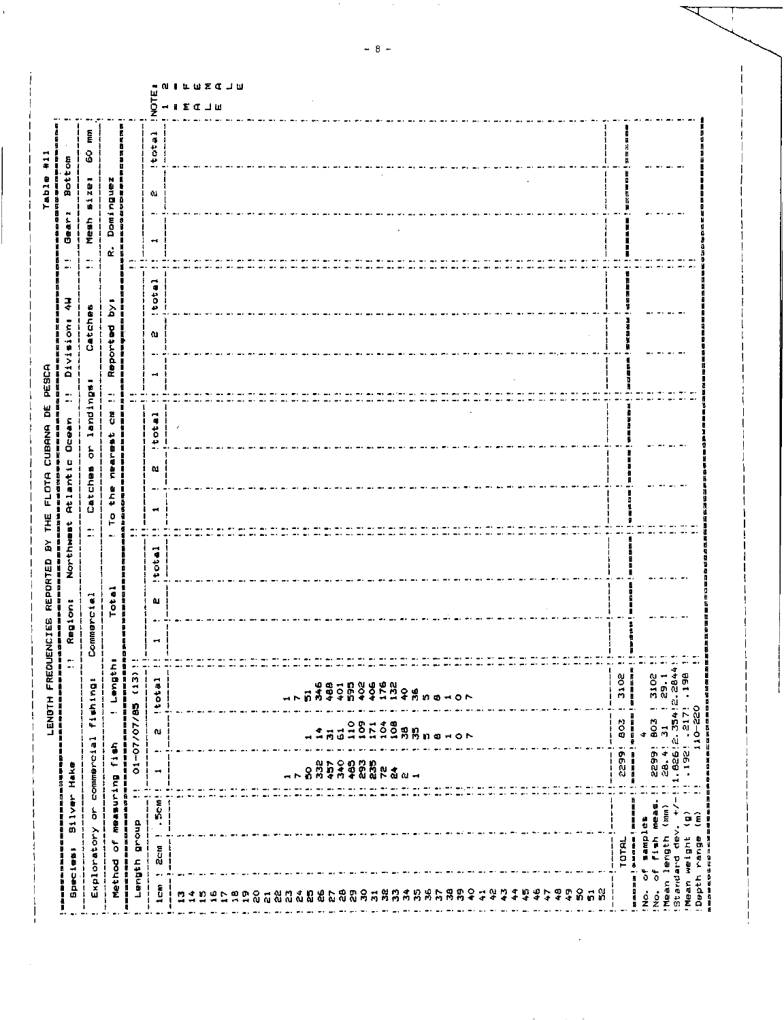| <b>fishing:</b>             |                                                                            |
|-----------------------------|----------------------------------------------------------------------------|
|                             | Commercial                                                                 |
| Total                       | t Lengthi                                                                  |
| i<br>Nacional<br>神田 甘 野 野 野 | 01-07/07/85 (13)!<br>物理科学科学研究所の理解を受ける研究所                                   |
| Itotal<br>u.                | $\blacktriangleright$<br>Î.<br>$\mathbf{I}$<br>$\mathbb{Z}^*$              |
|                             |                                                                            |
|                             |                                                                            |
|                             |                                                                            |
|                             | 1.826:2.354:2.2844<br>1929:2.354:2.2844<br>1929:217: 198:3844<br>10-220:20 |
|                             | ÷                                                                          |
|                             |                                                                            |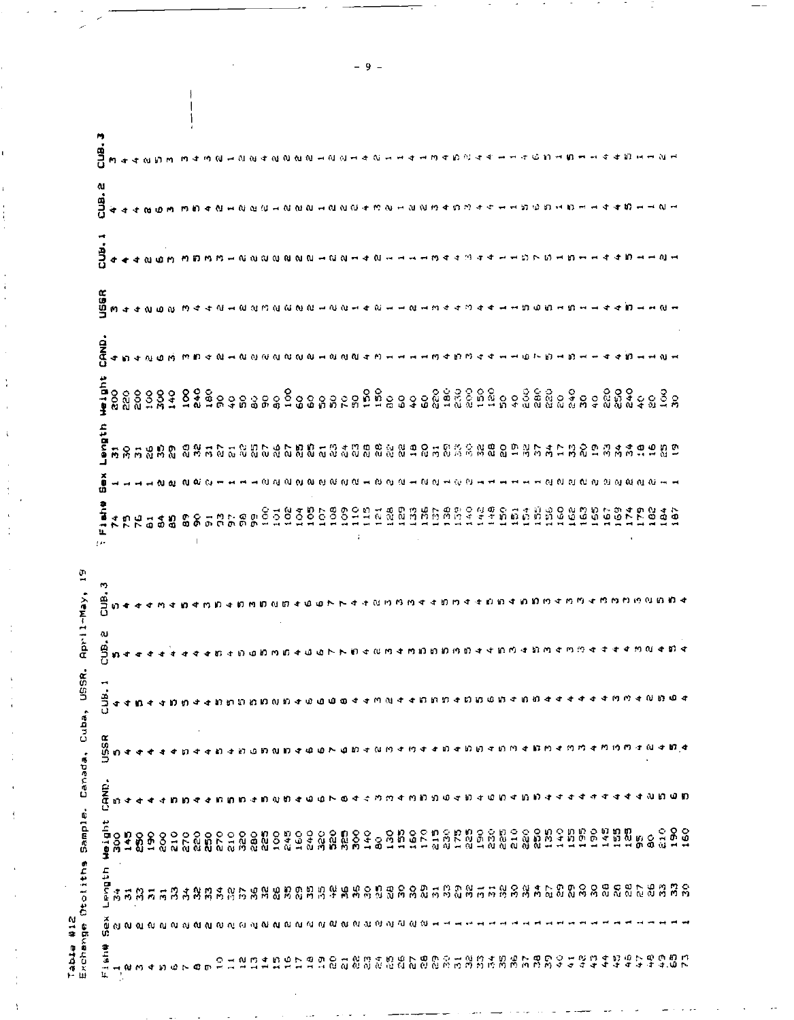|                         | CUB.3                    |               |               |     |                 |               |               |                |               |    |      |     |                                                                                                                |               |     |    |        |    |    |               |                |       |     |  |                 |  |  |                                                            |   |            |      |             |                |    |                |            |     |            |    |         |    |                |            |
|-------------------------|--------------------------|---------------|---------------|-----|-----------------|---------------|---------------|----------------|---------------|----|------|-----|----------------------------------------------------------------------------------------------------------------|---------------|-----|----|--------|----|----|---------------|----------------|-------|-----|--|-----------------|--|--|------------------------------------------------------------|---|------------|------|-------------|----------------|----|----------------|------------|-----|------------|----|---------|----|----------------|------------|
|                         |                          |               |               |     |                 | ងសសាក         |               | n              |               |    |      |     | <b>1000000000000000000000000000000000</b>                                                                      |               |     |    |        |    |    |               |                |       |     |  |                 |  |  |                                                            |   | $-100-0$   |      |             |                |    |                |            |     |            |    |         |    |                |            |
|                         | $CUB$ , $2$              |               |               |     |                 |               |               |                |               |    |      |     |                                                                                                                |               |     |    |        |    |    |               |                |       |     |  |                 |  |  | <b>NNNHNNN+MNHNNM4DN++++DDDHD+</b>                         |   |            |      |             |                |    |                |            |     |            |    |         |    |                |            |
|                         | 20B.1                    |               |               |     |                 |               |               |                |               |    |      |     | ิญญญญญผ⊣ญญ⊶                                                                                                    |               |     |    |        |    |    |               |                | $N -$ |     |  | <b>HHM44M44</b> |  |  |                                                            |   |            |      |             |                |    |                |            |     |            |    |         |    |                |            |
|                         | USSR                     |               |               |     |                 |               |               |                |               |    |      |     | <b>WAAMOO WAAMAMOO MAMO HIMHAMHAMHU HUAWAAWAA</b>                                                              |               |     |    |        |    |    |               |                |       |     |  |                 |  |  |                                                            |   | មហ្ថត្រួចម |      |             |                |    |                |            |     |            |    |         |    |                |            |
|                         | CRND.                    |               |               |     |                 |               |               |                |               |    |      |     |                                                                                                                |               |     |    |        |    |    |               |                |       |     |  |                 |  |  |                                                            |   |            |      |             |                |    |                |            |     |            |    |         |    |                |            |
|                         |                          | $\frac{8}{3}$ | 220           | δo  | $\frac{38}{29}$ |               | 140           | $\overline{5}$ | $\frac{3}{4}$ |    |      |     | <u>ទី៩ទ្រនននទីទទនននុក្ខទេសីទីនទទទនិទ័ននិត្តិមន្ទននិត្តិននិន្ទននិន្ទនទីន</u>                                    |               |     |    |        |    |    |               |                |       |     |  |                 |  |  |                                                            |   |            |      |             |                |    |                |            |     |            |    |         |    |                |            |
|                         | subten usbuen            |               |               |     |                 |               |               |                |               |    |      |     | ដន្តដូន្ន និន្នដូចខ្លួនដូចដូចន្ត្រីដូចន្ទ្រីន្ទ្រីន្ទ្រីន្ទ្រីន្ទ្រីន្ទ្រីន្ទ្រីន្ទ្រីន្ទ្រីន្ទ្រីន្ទ្រីន្ទ្រី |               |     |    |        |    |    |               |                |       |     |  |                 |  |  |                                                            |   |            |      |             |                |    |                |            |     |            |    |         |    | ရွက္           |            |
|                         | ă<br>Sex                 |               |               |     |                 |               |               |                |               |    |      |     | - 0 0 0 0 0 0 0 0 0 0 0 0 - 0 0 0 - 0 0 - 0 0                                                                  |               |     |    |        |    |    |               |                |       |     |  |                 |  |  |                                                            |   |            |      |             |                |    |                | សសសសសសសស   |     |            |    |         |    |                |            |
|                         | Fishe<br>t er            | ÷             | $\mathbf{r}$  | 76  |                 | 5.8           |               | S.             |               | មា | n ti | 8 m |                                                                                                                | $\frac{8}{9}$ |     |    | 938638 |    |    | $\frac{1}{2}$ | $154$<br>$128$ |       |     |  |                 |  |  | <b>OSSANSO COORDINATION</b>                                |   |            |      | <b>3985</b> |                |    |                | у.         |     | 534        |    |         | မိ | œ              |            |
| $\frac{5}{1}$           | m<br>er<br>S             |               |               |     |                 |               |               |                |               |    |      |     |                                                                                                                |               |     |    |        |    |    |               |                |       |     |  |                 |  |  |                                                            |   |            |      |             |                |    |                |            |     |            |    |         |    |                |            |
| April-May,              | CUB. 2                   | 30 st         |               |     |                 |               |               |                |               |    |      |     |                                                                                                                |               |     |    |        |    |    |               |                |       |     |  |                 |  |  | Demnanthoundae Doadwate                                    |   |            |      |             |                |    |                |            |     |            |    | すすめのすねす |    |                |            |
|                         | EJB.                     | -s            | ≮             |     | ÷               | đ             | ю             | m              |               |    |      |     | ពេត្តពេលសង                                                                                                     |               |     | υR |        |    |    |               |                |       |     |  |                 |  |  | កស្ទន់ពេលទេពលថ្ងៃ                                          |   | រពេល       |      |             |                |    |                |            |     |            |    |         |    |                |            |
| Canada, Cuba, USSR.     | USSR                     | v)            |               |     |                 |               |               |                |               |    |      |     | - 63                                                                                                           | ณ             | n e | ەت |        |    |    | m             |                |       |     |  |                 |  |  | すなりすりすすりすりりすりりす                                            |   |            | מ תו |             | ⊀              | ΜM |                | 计附约的       |     |            |    | -1 N    |    | ÷              | 17 4       |
|                         | CAND.                    | n             | ◆             |     |                 |               |               |                |               |    |      |     |                                                                                                                |               |     | uΩ | ه      |    | œ. |               |                | m     |     |  | ងកាសាងមាង       |  |  | w<br>ю                                                     | ∢ | 30 D       |      |             |                |    |                |            |     |            |    | ∢ងតេថាព |    |                |            |
| Sample.                 | auBren                   | <b>SOC</b>    |               | 145 |                 | $\frac{8}{3}$ | $\frac{8}{9}$ |                |               |    |      |     | ្ត ខេត្ត ខេត្ត ខេត្ត ខេត្ត ខេត្ត ខេត្ត ខេត្ត<br>សូមសូម ក្តី មិនសូម ក្នុង មិនសូម ខេត្ត ខេត្ត                    |               |     |    |        |    |    |               | 140<br>္ႀ      |       | 155 |  | 1522222         |  |  | និងដូចខ្លួន<br>ក្នុងដូចខ្លួន                               |   |            |      | 135         | $140$<br>$155$ |    |                | 190        | 149 | 195<br>125 |    | 5 S     |    | $\frac{6}{10}$ | 180<br>160 |
| Otoliths                | dith<br>$\sum_{i=1}^{n}$ | 高             | $\frac{1}{2}$ | Я   | $\overline{p}$  | $\vec{p}$     | B             | 古              | n n           |    |      |     | 38588888888                                                                                                    |               |     |    |        |    |    |               |                |       |     |  |                 |  |  | <b># สุทิ</b> ยูลิติตและมีสุทิตและมีสุทิตและมีสุทิตและมีสุ |   |            |      |             |                |    |                |            |     |            |    |         |    |                | នី និ      |
|                         | ┙<br>$\tilde{\hat{u}}$   |               |               |     |                 |               |               |                |               |    |      |     |                                                                                                                |               |     |    |        |    |    |               |                |       |     |  |                 |  |  |                                                            |   |            |      |             |                |    |                |            |     |            |    |         |    |                |            |
| Table #12<br>Exchange ( | Ú.<br>普马<br>٠÷٩<br>Ц.    |               |               |     |                 |               |               |                |               |    |      |     |                                                                                                                |               | りのレ | Ф  | ள      | S. | ដ  | 음음            |                |       |     |  |                 |  |  | <b><i># បួងស្រួតទី១៩និងទី១៩ ឆ្នាំ ១៩</i></b>               |   |            |      | ΣŚ,         | ွ              | ÷  | 4 <sup>2</sup> | $4\degree$ | 4   | ÷          | ٠Q | ÷       | æ  | o<br>÷         | ន្ទីក្     |

 $-9 -$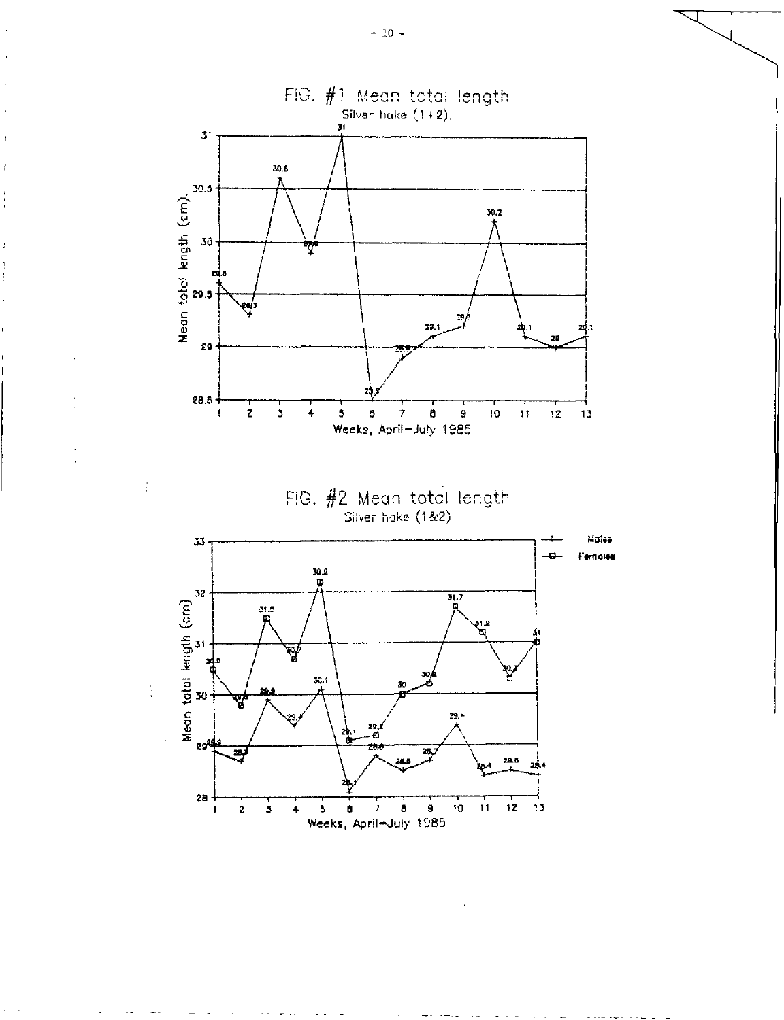$\mathbf{f}$ 

 $\frac{1}{\lambda}$